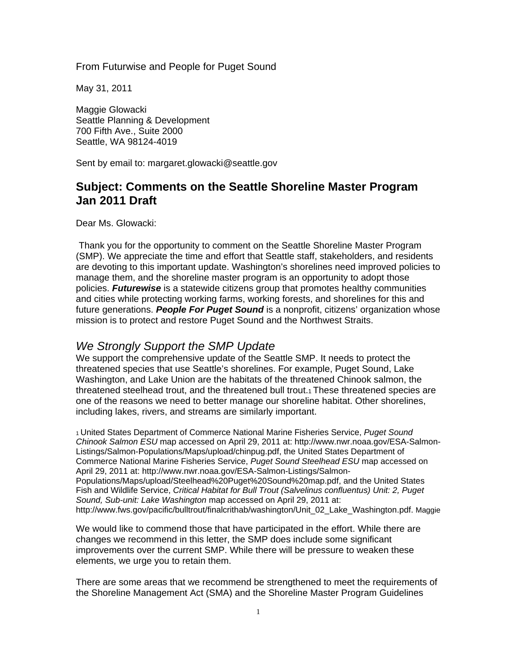From Futurwise and People for Puget Sound

May 31, 2011

Maggie Glowacki Seattle Planning & Development 700 Fifth Ave., Suite 2000 Seattle, WA 98124-4019

Sent by email to: margaret.glowacki@seattle.gov

### **Subject: Comments on the Seattle Shoreline Master Program Jan 2011 Draft**

Dear Ms. Glowacki:

Thank you for the opportunity to comment on the Seattle Shoreline Master Program (SMP). We appreciate the time and effort that Seattle staff, stakeholders, and residents are devoting to this important update. Washington's shorelines need improved policies to manage them, and the shoreline master program is an opportunity to adopt those policies. *Futurewise* is a statewide citizens group that promotes healthy communities and cities while protecting working farms, working forests, and shorelines for this and future generations. *People For Puget Sound* is a nonprofit, citizens' organization whose mission is to protect and restore Puget Sound and the Northwest Straits.

#### *We Strongly Support the SMP Update*

We support the comprehensive update of the Seattle SMP. It needs to protect the threatened species that use Seattle's shorelines. For example, Puget Sound, Lake Washington, and Lake Union are the habitats of the threatened Chinook salmon, the threatened steelhead trout, and the threatened bull trout.1 These threatened species are one of the reasons we need to better manage our shoreline habitat. Other shorelines, including lakes, rivers, and streams are similarly important.

1 United States Department of Commerce National Marine Fisheries Service, *Puget Sound Chinook Salmon ESU* map accessed on April 29, 2011 at: http://www.nwr.noaa.gov/ESA-Salmon-Listings/Salmon-Populations/Maps/upload/chinpug.pdf, the United States Department of Commerce National Marine Fisheries Service, *Puget Sound Steelhead ESU* map accessed on April 29, 2011 at: http://www.nwr.noaa.gov/ESA-Salmon-Listings/Salmon-Populations/Maps/upload/Steelhead%20Puget%20Sound%20map.pdf, and the United States Fish and Wildlife Service, *Critical Habitat for Bull Trout (Salvelinus confluentus) Unit: 2, Puget Sound, Sub-unit: Lake Washington* map accessed on April 29, 2011 at: http://www.fws.gov/pacific/bulltrout/finalcrithab/washington/Unit\_02\_Lake\_Washington.pdf. Maggie

We would like to commend those that have participated in the effort. While there are changes we recommend in this letter, the SMP does include some significant improvements over the current SMP. While there will be pressure to weaken these elements, we urge you to retain them.

There are some areas that we recommend be strengthened to meet the requirements of the Shoreline Management Act (SMA) and the Shoreline Master Program Guidelines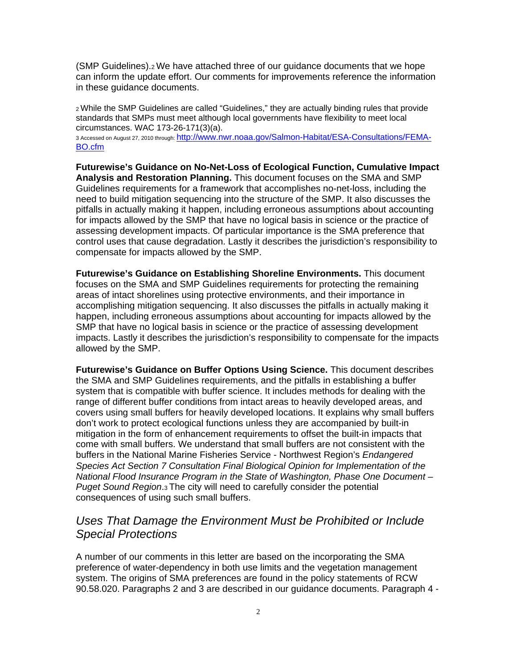(SMP Guidelines).2 We have attached three of our guidance documents that we hope can inform the update effort. Our comments for improvements reference the information in these guidance documents.

2 While the SMP Guidelines are called "Guidelines," they are actually binding rules that provide standards that SMPs must meet although local governments have flexibility to meet local circumstances. WAC 173-26-171(3)(a).

3 Accessed on August 27, 2010 through: http://www.nwr.noaa.gov/Salmon-Habitat/ESA-Consultations/FEMA-BO.cfm

**Futurewise's Guidance on No-Net-Loss of Ecological Function, Cumulative Impact Analysis and Restoration Planning.** This document focuses on the SMA and SMP Guidelines requirements for a framework that accomplishes no-net-loss, including the need to build mitigation sequencing into the structure of the SMP. It also discusses the pitfalls in actually making it happen, including erroneous assumptions about accounting for impacts allowed by the SMP that have no logical basis in science or the practice of assessing development impacts. Of particular importance is the SMA preference that control uses that cause degradation. Lastly it describes the jurisdiction's responsibility to compensate for impacts allowed by the SMP.

**Futurewise's Guidance on Establishing Shoreline Environments.** This document focuses on the SMA and SMP Guidelines requirements for protecting the remaining areas of intact shorelines using protective environments, and their importance in accomplishing mitigation sequencing. It also discusses the pitfalls in actually making it happen, including erroneous assumptions about accounting for impacts allowed by the SMP that have no logical basis in science or the practice of assessing development impacts. Lastly it describes the jurisdiction's responsibility to compensate for the impacts allowed by the SMP.

**Futurewise's Guidance on Buffer Options Using Science.** This document describes the SMA and SMP Guidelines requirements, and the pitfalls in establishing a buffer system that is compatible with buffer science. It includes methods for dealing with the range of different buffer conditions from intact areas to heavily developed areas, and covers using small buffers for heavily developed locations. It explains why small buffers don't work to protect ecological functions unless they are accompanied by built-in mitigation in the form of enhancement requirements to offset the built-in impacts that come with small buffers. We understand that small buffers are not consistent with the buffers in the National Marine Fisheries Service - Northwest Region's *Endangered Species Act Section 7 Consultation Final Biological Opinion for Implementation of the National Flood Insurance Program in the State of Washington, Phase One Document – Puget Sound Region*.3 The city will need to carefully consider the potential consequences of using such small buffers.

## *Uses That Damage the Environment Must be Prohibited or Include Special Protections*

A number of our comments in this letter are based on the incorporating the SMA preference of water-dependency in both use limits and the vegetation management system. The origins of SMA preferences are found in the policy statements of RCW 90.58.020. Paragraphs 2 and 3 are described in our guidance documents. Paragraph 4 -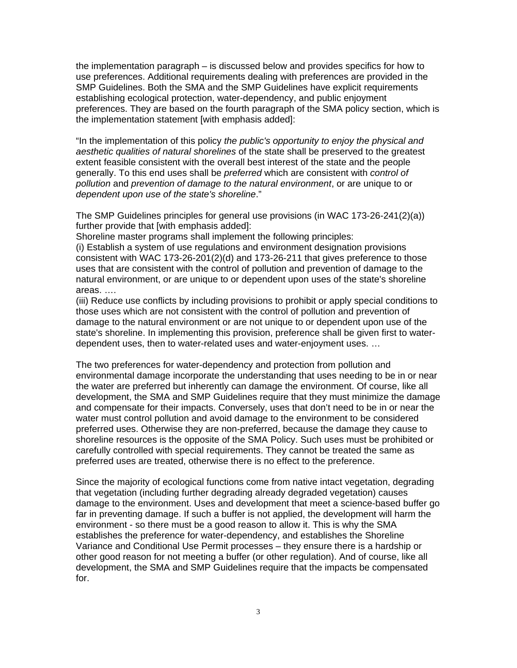the implementation paragraph – is discussed below and provides specifics for how to use preferences. Additional requirements dealing with preferences are provided in the SMP Guidelines. Both the SMA and the SMP Guidelines have explicit requirements establishing ecological protection, water-dependency, and public enjoyment preferences. They are based on the fourth paragraph of the SMA policy section, which is the implementation statement [with emphasis added]:

"In the implementation of this policy *the public's opportunity to enjoy the physical and aesthetic qualities of natural shorelines* of the state shall be preserved to the greatest extent feasible consistent with the overall best interest of the state and the people generally. To this end uses shall be *preferred* which are consistent with *control of pollution* and *prevention of damage to the natural environment*, or are unique to or *dependent upon use of the state's shoreline*."

The SMP Guidelines principles for general use provisions (in WAC 173-26-241(2)(a)) further provide that [with emphasis added]:

Shoreline master programs shall implement the following principles:

(i) Establish a system of use regulations and environment designation provisions consistent with WAC 173-26-201(2)(d) and 173-26-211 that gives preference to those uses that are consistent with the control of pollution and prevention of damage to the natural environment, or are unique to or dependent upon uses of the state's shoreline areas. ….

(iii) Reduce use conflicts by including provisions to prohibit or apply special conditions to those uses which are not consistent with the control of pollution and prevention of damage to the natural environment or are not unique to or dependent upon use of the state's shoreline. In implementing this provision, preference shall be given first to waterdependent uses, then to water-related uses and water-enjoyment uses. …

The two preferences for water-dependency and protection from pollution and environmental damage incorporate the understanding that uses needing to be in or near the water are preferred but inherently can damage the environment. Of course, like all development, the SMA and SMP Guidelines require that they must minimize the damage and compensate for their impacts. Conversely, uses that don't need to be in or near the water must control pollution and avoid damage to the environment to be considered preferred uses. Otherwise they are non-preferred, because the damage they cause to shoreline resources is the opposite of the SMA Policy. Such uses must be prohibited or carefully controlled with special requirements. They cannot be treated the same as preferred uses are treated, otherwise there is no effect to the preference.

Since the majority of ecological functions come from native intact vegetation, degrading that vegetation (including further degrading already degraded vegetation) causes damage to the environment. Uses and development that meet a science-based buffer go far in preventing damage. If such a buffer is not applied, the development will harm the environment - so there must be a good reason to allow it. This is why the SMA establishes the preference for water-dependency, and establishes the Shoreline Variance and Conditional Use Permit processes – they ensure there is a hardship or other good reason for not meeting a buffer (or other regulation). And of course, like all development, the SMA and SMP Guidelines require that the impacts be compensated for.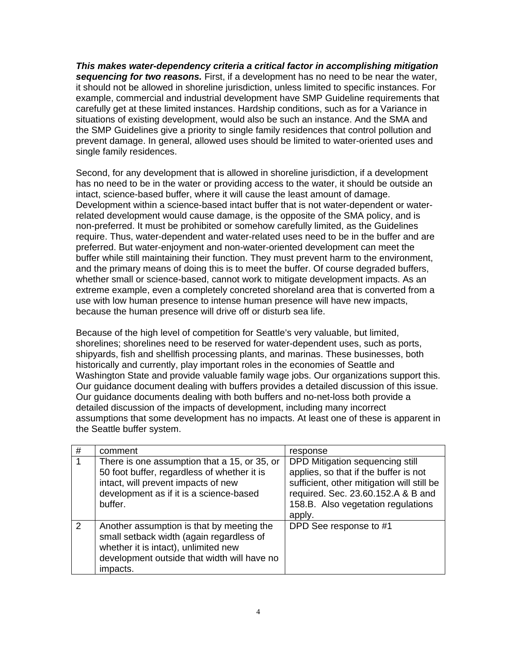*This makes water-dependency criteria a critical factor in accomplishing mitigation sequencing for two reasons.* First, if a development has no need to be near the water, it should not be allowed in shoreline jurisdiction, unless limited to specific instances. For example, commercial and industrial development have SMP Guideline requirements that carefully get at these limited instances. Hardship conditions, such as for a Variance in situations of existing development, would also be such an instance. And the SMA and the SMP Guidelines give a priority to single family residences that control pollution and prevent damage. In general, allowed uses should be limited to water-oriented uses and single family residences.

Second, for any development that is allowed in shoreline jurisdiction, if a development has no need to be in the water or providing access to the water, it should be outside an intact, science-based buffer, where it will cause the least amount of damage. Development within a science-based intact buffer that is not water-dependent or waterrelated development would cause damage, is the opposite of the SMA policy, and is non-preferred. It must be prohibited or somehow carefully limited, as the Guidelines require. Thus, water-dependent and water-related uses need to be in the buffer and are preferred. But water-enjoyment and non-water-oriented development can meet the buffer while still maintaining their function. They must prevent harm to the environment, and the primary means of doing this is to meet the buffer. Of course degraded buffers, whether small or science-based, cannot work to mitigate development impacts. As an extreme example, even a completely concreted shoreland area that is converted from a use with low human presence to intense human presence will have new impacts, because the human presence will drive off or disturb sea life.

Because of the high level of competition for Seattle's very valuable, but limited, shorelines; shorelines need to be reserved for water-dependent uses, such as ports, shipyards, fish and shellfish processing plants, and marinas. These businesses, both historically and currently, play important roles in the economies of Seattle and Washington State and provide valuable family wage jobs. Our organizations support this. Our guidance document dealing with buffers provides a detailed discussion of this issue. Our guidance documents dealing with both buffers and no-net-loss both provide a detailed discussion of the impacts of development, including many incorrect assumptions that some development has no impacts. At least one of these is apparent in the Seattle buffer system.

| # | comment                                                                                                                                                                                  | response                                                                                                                                                                                                     |
|---|------------------------------------------------------------------------------------------------------------------------------------------------------------------------------------------|--------------------------------------------------------------------------------------------------------------------------------------------------------------------------------------------------------------|
|   | There is one assumption that a 15, or 35, or<br>50 foot buffer, regardless of whether it is<br>intact, will prevent impacts of new<br>development as if it is a science-based<br>buffer. | DPD Mitigation sequencing still<br>applies, so that if the buffer is not<br>sufficient, other mitigation will still be<br>required. Sec. 23.60.152.A & B and<br>158.B. Also vegetation regulations<br>apply. |
| 2 | Another assumption is that by meeting the<br>small setback width (again regardless of<br>whether it is intact), unlimited new<br>development outside that width will have no<br>impacts. | DPD See response to #1                                                                                                                                                                                       |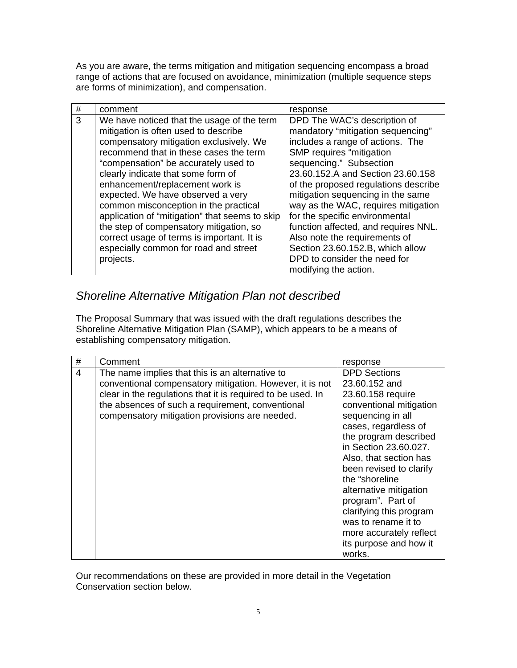As you are aware, the terms mitigation and mitigation sequencing encompass a broad range of actions that are focused on avoidance, minimization (multiple sequence steps are forms of minimization), and compensation.

| #<br>comment                                   | response                             |
|------------------------------------------------|--------------------------------------|
| 3                                              | DPD The WAC's description of         |
| We have noticed that the usage of the term     | mandatory "mitigation sequencing"    |
| mitigation is often used to describe           | includes a range of actions. The     |
| compensatory mitigation exclusively. We        | SMP requires "mitigation             |
| recommend that in these cases the term         | sequencing." Subsection              |
| "compensation" be accurately used to           | 23.60.152.A and Section 23.60.158    |
| clearly indicate that some form of             | of the proposed regulations describe |
| enhancement/replacement work is                | mitigation sequencing in the same    |
| expected. We have observed a very              | way as the WAC, requires mitigation  |
| common misconception in the practical          | for the specific environmental       |
| application of "mitigation" that seems to skip | function affected, and requires NNL. |
| the step of compensatory mitigation, so        | Also note the requirements of        |
| correct usage of terms is important. It is     | Section 23.60.152.B, which allow     |
| especially common for road and street          | DPD to consider the need for         |
| projects.                                      | modifying the action.                |

# *Shoreline Alternative Mitigation Plan not described*

The Proposal Summary that was issued with the draft regulations describes the Shoreline Alternative Mitigation Plan (SAMP), which appears to be a means of establishing compensatory mitigation.

| #<br>Comment                                                                                                                                                                                                                                                                                                 | response                                                                                                                                                                                                                                                                                                                                                                                                          |
|--------------------------------------------------------------------------------------------------------------------------------------------------------------------------------------------------------------------------------------------------------------------------------------------------------------|-------------------------------------------------------------------------------------------------------------------------------------------------------------------------------------------------------------------------------------------------------------------------------------------------------------------------------------------------------------------------------------------------------------------|
| $\overline{4}$<br>The name implies that this is an alternative to<br>conventional compensatory mitigation. However, it is not<br>clear in the regulations that it is required to be used. In<br>the absences of such a requirement, conventional<br>compensatory mitigation provisions are needed.<br>works. | <b>DPD Sections</b><br>23.60.152 and<br>23.60.158 require<br>conventional mitigation<br>sequencing in all<br>cases, regardless of<br>the program described<br>in Section 23.60.027.<br>Also, that section has<br>been revised to clarify<br>the "shoreline"<br>alternative mitigation<br>program". Part of<br>clarifying this program<br>was to rename it to<br>more accurately reflect<br>its purpose and how it |

Our recommendations on these are provided in more detail in the Vegetation Conservation section below.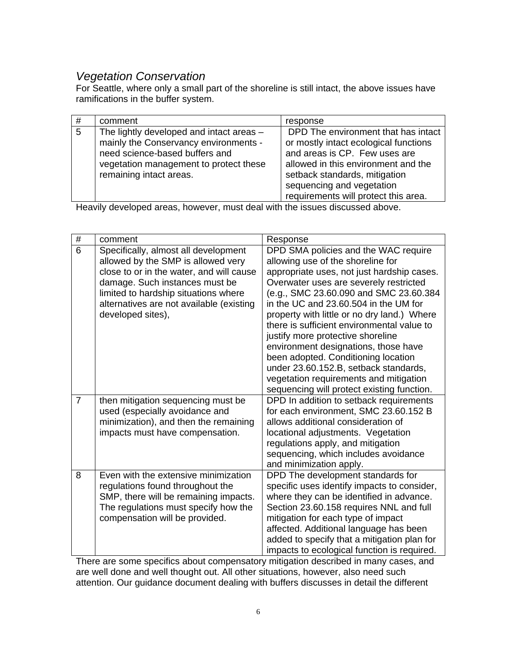# *Vegetation Conservation*

For Seattle, where only a small part of the shoreline is still intact, the above issues have ramifications in the buffer system.

| # | comment                                                                                                                                                                                  | response                                                                                                                                                                                                                                                   |
|---|------------------------------------------------------------------------------------------------------------------------------------------------------------------------------------------|------------------------------------------------------------------------------------------------------------------------------------------------------------------------------------------------------------------------------------------------------------|
| 5 | The lightly developed and intact areas -<br>mainly the Conservancy environments -<br>need science-based buffers and<br>vegetation management to protect these<br>remaining intact areas. | DPD The environment that has intact<br>or mostly intact ecological functions<br>and areas is CP. Few uses are<br>allowed in this environment and the<br>setback standards, mitigation<br>sequencing and vegetation<br>requirements will protect this area. |

Heavily developed areas, however, must deal with the issues discussed above.

| $\#$           | comment                                  | Response                                                                              |
|----------------|------------------------------------------|---------------------------------------------------------------------------------------|
| $\overline{6}$ | Specifically, almost all development     | DPD SMA policies and the WAC require                                                  |
|                | allowed by the SMP is allowed very       | allowing use of the shoreline for                                                     |
|                | close to or in the water, and will cause | appropriate uses, not just hardship cases.                                            |
|                | damage. Such instances must be           | Overwater uses are severely restricted                                                |
|                | limited to hardship situations where     | (e.g., SMC 23.60.090 and SMC 23.60.384                                                |
|                | alternatives are not available (existing | in the UC and 23,60,504 in the UM for                                                 |
|                | developed sites),                        | property with little or no dry land.) Where                                           |
|                |                                          | there is sufficient environmental value to                                            |
|                |                                          | justify more protective shoreline                                                     |
|                |                                          | environment designations, those have                                                  |
|                |                                          | been adopted. Conditioning location                                                   |
|                |                                          | under 23.60.152.B, setback standards,                                                 |
|                |                                          | vegetation requirements and mitigation                                                |
| $\overline{7}$ | then mitigation sequencing must be       | sequencing will protect existing function.<br>DPD In addition to setback requirements |
|                | used (especially avoidance and           | for each environment, SMC 23.60.152 B                                                 |
|                | minimization), and then the remaining    | allows additional consideration of                                                    |
|                | impacts must have compensation.          | locational adjustments. Vegetation                                                    |
|                |                                          | regulations apply, and mitigation                                                     |
|                |                                          | sequencing, which includes avoidance                                                  |
|                |                                          | and minimization apply.                                                               |
| 8              | Even with the extensive minimization     | DPD The development standards for                                                     |
|                | regulations found throughout the         | specific uses identify impacts to consider,                                           |
|                | SMP, there will be remaining impacts.    | where they can be identified in advance.                                              |
|                | The regulations must specify how the     | Section 23.60.158 requires NNL and full                                               |
|                | compensation will be provided.           | mitigation for each type of impact                                                    |
|                |                                          | affected. Additional language has been                                                |
|                |                                          | added to specify that a mitigation plan for                                           |
|                |                                          | impacts to ecological function is required.                                           |

There are some specifics about compensatory mitigation described in many cases, and are well done and well thought out. All other situations, however, also need such attention. Our guidance document dealing with buffers discusses in detail the different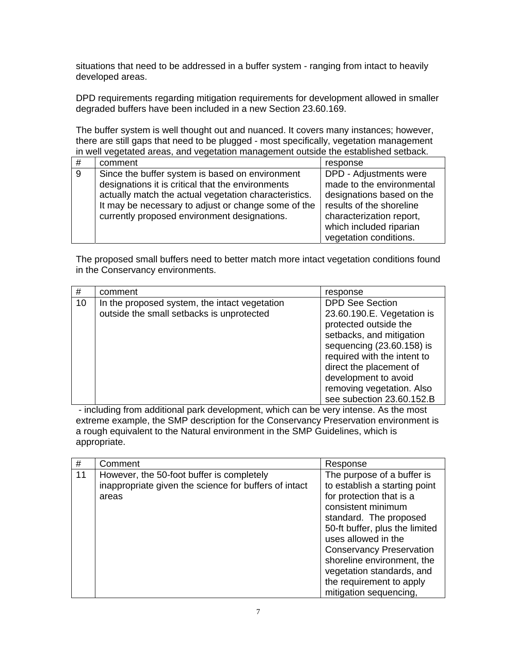situations that need to be addressed in a buffer system - ranging from intact to heavily developed areas.

DPD requirements regarding mitigation requirements for development allowed in smaller degraded buffers have been included in a new Section 23.60.169.

The buffer system is well thought out and nuanced. It covers many instances; however, there are still gaps that need to be plugged - most specifically, vegetation management in well vegetated areas, and vegetation management outside the established setback.

| #              | comment                                               | response                  |
|----------------|-------------------------------------------------------|---------------------------|
| $\overline{9}$ | Since the buffer system is based on environment       | DPD - Adjustments were    |
|                | designations it is critical that the environments     | made to the environmental |
|                | actually match the actual vegetation characteristics. | designations based on the |
|                | It may be necessary to adjust or change some of the   | results of the shoreline  |
|                | currently proposed environment designations.          | characterization report,  |
|                |                                                       | which included riparian   |
|                |                                                       | vegetation conditions.    |

The proposed small buffers need to better match more intact vegetation conditions found in the Conservancy environments.

| #  | comment                                                                                    | response                                                                                                                                                                                                                                                                           |
|----|--------------------------------------------------------------------------------------------|------------------------------------------------------------------------------------------------------------------------------------------------------------------------------------------------------------------------------------------------------------------------------------|
| 10 | In the proposed system, the intact vegetation<br>outside the small setbacks is unprotected | <b>DPD See Section</b><br>23.60.190.E. Vegetation is<br>protected outside the<br>setbacks, and mitigation<br>sequencing (23.60.158) is<br>required with the intent to<br>direct the placement of<br>development to avoid<br>removing vegetation. Also<br>see subection 23.60.152.B |

 - including from additional park development, which can be very intense. As the most extreme example, the SMP description for the Conservancy Preservation environment is a rough equivalent to the Natural environment in the SMP Guidelines, which is appropriate.

| #  | Comment                                                                                                     | Response                                                                                                                                                                                                                                                                                                                                             |
|----|-------------------------------------------------------------------------------------------------------------|------------------------------------------------------------------------------------------------------------------------------------------------------------------------------------------------------------------------------------------------------------------------------------------------------------------------------------------------------|
| 11 | However, the 50-foot buffer is completely<br>inappropriate given the science for buffers of intact<br>areas | The purpose of a buffer is<br>to establish a starting point<br>for protection that is a<br>consistent minimum<br>standard. The proposed<br>50-ft buffer, plus the limited<br>uses allowed in the<br><b>Conservancy Preservation</b><br>shoreline environment, the<br>vegetation standards, and<br>the requirement to apply<br>mitigation sequencing, |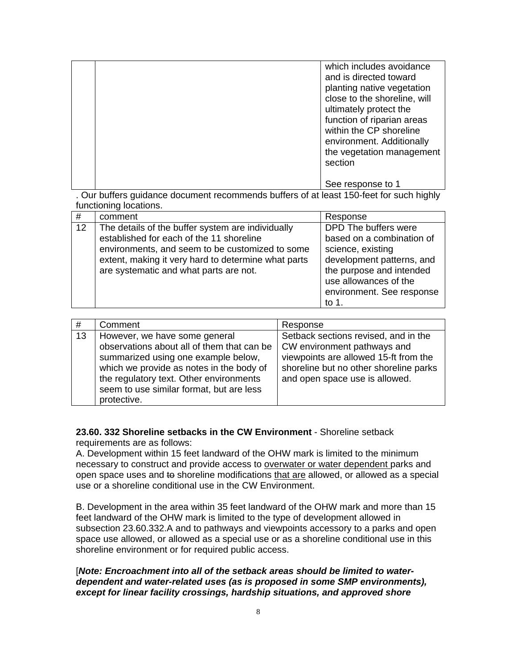|  | which includes avoidance<br>and is directed toward<br>planting native vegetation<br>close to the shoreline, will<br>ultimately protect the<br>function of riparian areas<br>within the CP shoreline<br>environment. Additionally<br>the vegetation management<br>section |
|--|--------------------------------------------------------------------------------------------------------------------------------------------------------------------------------------------------------------------------------------------------------------------------|
|  | See response to 1                                                                                                                                                                                                                                                        |

. Our buffers guidance document recommends buffers of at least 150-feet for such highly functioning locations.

| #  | comment                                                                                                                                                                                                                                           | Response                                                                                                                                                                                          |
|----|---------------------------------------------------------------------------------------------------------------------------------------------------------------------------------------------------------------------------------------------------|---------------------------------------------------------------------------------------------------------------------------------------------------------------------------------------------------|
| 12 | The details of the buffer system are individually<br>established for each of the 11 shoreline<br>environments, and seem to be customized to some<br>extent, making it very hard to determine what parts<br>are systematic and what parts are not. | DPD The buffers were<br>based on a combination of<br>science, existing<br>development patterns, and<br>the purpose and intended<br>use allowances of the<br>environment. See response<br>to $1$ . |

| #  | Comment                                                                                                                                                                                                                                                              | Response                                                                                                                                                                                 |
|----|----------------------------------------------------------------------------------------------------------------------------------------------------------------------------------------------------------------------------------------------------------------------|------------------------------------------------------------------------------------------------------------------------------------------------------------------------------------------|
| 13 | However, we have some general<br>observations about all of them that can be<br>summarized using one example below,<br>which we provide as notes in the body of<br>the regulatory text. Other environments<br>seem to use similar format, but are less<br>protective. | Setback sections revised, and in the<br>CW environment pathways and<br>viewpoints are allowed 15-ft from the<br>shoreline but no other shoreline parks<br>and open space use is allowed. |

#### **23.60. 332 Shoreline setbacks in the CW Environment** - Shoreline setback requirements are as follows:

A. Development within 15 feet landward of the OHW mark is limited to the minimum necessary to construct and provide access to overwater or water dependent parks and open space uses and to shoreline modifications that are allowed, or allowed as a special use or a shoreline conditional use in the CW Environment.

B. Development in the area within 35 feet landward of the OHW mark and more than 15 feet landward of the OHW mark is limited to the type of development allowed in subsection 23.60.332.A and to pathways and viewpoints accessory to a parks and open space use allowed, or allowed as a special use or as a shoreline conditional use in this shoreline environment or for required public access.

#### [*Note: Encroachment into all of the setback areas should be limited to waterdependent and water-related uses (as is proposed in some SMP environments), except for linear facility crossings, hardship situations, and approved shore*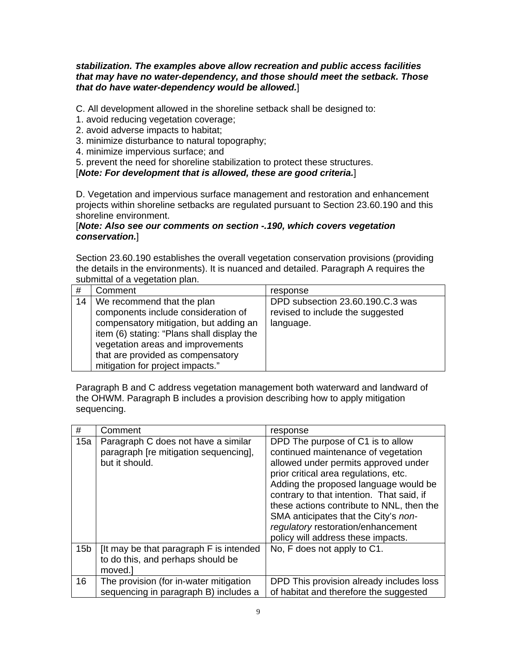#### *stabilization. The examples above allow recreation and public access facilities that may have no water-dependency, and those should meet the setback. Those that do have water-dependency would be allowed.*]

C. All development allowed in the shoreline setback shall be designed to:

- 1. avoid reducing vegetation coverage;
- 2. avoid adverse impacts to habitat;
- 3. minimize disturbance to natural topography;
- 4. minimize impervious surface; and
- 5. prevent the need for shoreline stabilization to protect these structures.

[*Note: For development that is allowed, these are good criteria.*]

D. Vegetation and impervious surface management and restoration and enhancement projects within shoreline setbacks are regulated pursuant to Section 23.60.190 and this shoreline environment.

#### [*Note: Also see our comments on section -.190, which covers vegetation conservation.*]

Section 23.60.190 establishes the overall vegetation conservation provisions (providing the details in the environments). It is nuanced and detailed. Paragraph A requires the submittal of a vegetation plan.

| #  | Comment                                                                                                                                                                                                                                                                 | response                                                                          |
|----|-------------------------------------------------------------------------------------------------------------------------------------------------------------------------------------------------------------------------------------------------------------------------|-----------------------------------------------------------------------------------|
| 14 | We recommend that the plan<br>components include consideration of<br>compensatory mitigation, but adding an<br>item (6) stating: "Plans shall display the<br>vegetation areas and improvements<br>that are provided as compensatory<br>mitigation for project impacts." | DPD subsection 23.60.190.C.3 was<br>revised to include the suggested<br>language. |

Paragraph B and C address vegetation management both waterward and landward of the OHWM. Paragraph B includes a provision describing how to apply mitigation sequencing.

| #               | Comment                                                                                        | response                                                                                                                                                                                                                                                                                                                                                                                                         |
|-----------------|------------------------------------------------------------------------------------------------|------------------------------------------------------------------------------------------------------------------------------------------------------------------------------------------------------------------------------------------------------------------------------------------------------------------------------------------------------------------------------------------------------------------|
| 15a             | Paragraph C does not have a similar<br>paragraph [re mitigation sequencing],<br>but it should. | DPD The purpose of C1 is to allow<br>continued maintenance of vegetation<br>allowed under permits approved under<br>prior critical area regulations, etc.<br>Adding the proposed language would be<br>contrary to that intention. That said, if<br>these actions contribute to NNL, then the<br>SMA anticipates that the City's non-<br>regulatory restoration/enhancement<br>policy will address these impacts. |
| 15 <sub>b</sub> | It may be that paragraph F is intended<br>to do this, and perhaps should be<br>moved.]         | No, F does not apply to C1.                                                                                                                                                                                                                                                                                                                                                                                      |
| 16              | The provision (for in-water mitigation<br>sequencing in paragraph B) includes a                | DPD This provision already includes loss<br>of habitat and therefore the suggested                                                                                                                                                                                                                                                                                                                               |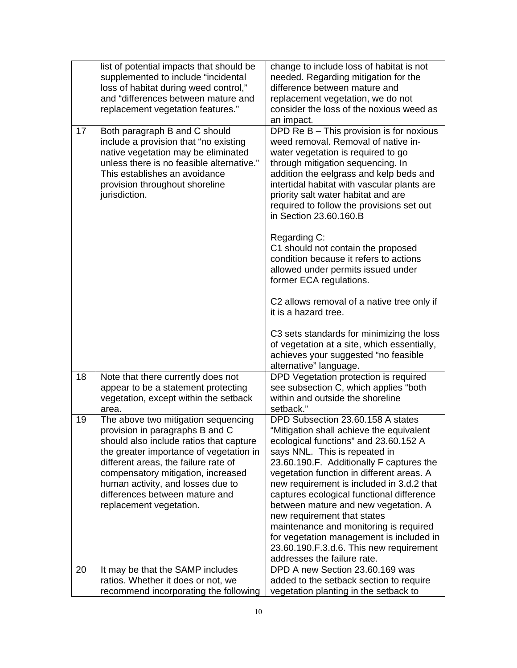|    | list of potential impacts that should be<br>supplemented to include "incidental<br>loss of habitat during weed control,"<br>and "differences between mature and<br>replacement vegetation features."                                                                                                                                         | change to include loss of habitat is not<br>needed. Regarding mitigation for the<br>difference between mature and<br>replacement vegetation, we do not<br>consider the loss of the noxious weed as<br>an impact.                                                                                                                                                                                                                                                                                                                                                                  |
|----|----------------------------------------------------------------------------------------------------------------------------------------------------------------------------------------------------------------------------------------------------------------------------------------------------------------------------------------------|-----------------------------------------------------------------------------------------------------------------------------------------------------------------------------------------------------------------------------------------------------------------------------------------------------------------------------------------------------------------------------------------------------------------------------------------------------------------------------------------------------------------------------------------------------------------------------------|
| 17 | Both paragraph B and C should<br>include a provision that "no existing<br>native vegetation may be eliminated<br>unless there is no feasible alternative."<br>This establishes an avoidance<br>provision throughout shoreline<br>jurisdiction.                                                                                               | DPD Re B - This provision is for noxious<br>weed removal. Removal of native in-<br>water vegetation is required to go<br>through mitigation sequencing. In<br>addition the eelgrass and kelp beds and<br>intertidal habitat with vascular plants are<br>priority salt water habitat and are<br>required to follow the provisions set out<br>in Section 23.60.160.B                                                                                                                                                                                                                |
|    |                                                                                                                                                                                                                                                                                                                                              | Regarding C:<br>C1 should not contain the proposed<br>condition because it refers to actions<br>allowed under permits issued under<br>former ECA regulations.                                                                                                                                                                                                                                                                                                                                                                                                                     |
|    |                                                                                                                                                                                                                                                                                                                                              | C2 allows removal of a native tree only if<br>it is a hazard tree.                                                                                                                                                                                                                                                                                                                                                                                                                                                                                                                |
|    |                                                                                                                                                                                                                                                                                                                                              | C3 sets standards for minimizing the loss<br>of vegetation at a site, which essentially,<br>achieves your suggested "no feasible<br>alternative" language.                                                                                                                                                                                                                                                                                                                                                                                                                        |
| 18 | Note that there currently does not<br>appear to be a statement protecting<br>vegetation, except within the setback<br>area.                                                                                                                                                                                                                  | DPD Vegetation protection is required<br>see subsection C, which applies "both<br>within and outside the shoreline<br>setback."                                                                                                                                                                                                                                                                                                                                                                                                                                                   |
| 19 | The above two mitigation sequencing<br>provision in paragraphs B and C<br>should also include ratios that capture<br>the greater importance of vegetation in<br>different areas, the failure rate of<br>compensatory mitigation, increased<br>human activity, and losses due to<br>differences between mature and<br>replacement vegetation. | DPD Subsection 23.60.158 A states<br>"Mitigation shall achieve the equivalent<br>ecological functions" and 23.60.152 A<br>says NNL. This is repeated in<br>23.60.190.F. Additionally F captures the<br>vegetation function in different areas. A<br>new requirement is included in 3.d.2 that<br>captures ecological functional difference<br>between mature and new vegetation. A<br>new requirement that states<br>maintenance and monitoring is required<br>for vegetation management is included in<br>23.60.190.F.3.d.6. This new requirement<br>addresses the failure rate. |
| 20 | It may be that the SAMP includes<br>ratios. Whether it does or not, we<br>recommend incorporating the following                                                                                                                                                                                                                              | DPD A new Section 23.60.169 was<br>added to the setback section to require<br>vegetation planting in the setback to                                                                                                                                                                                                                                                                                                                                                                                                                                                               |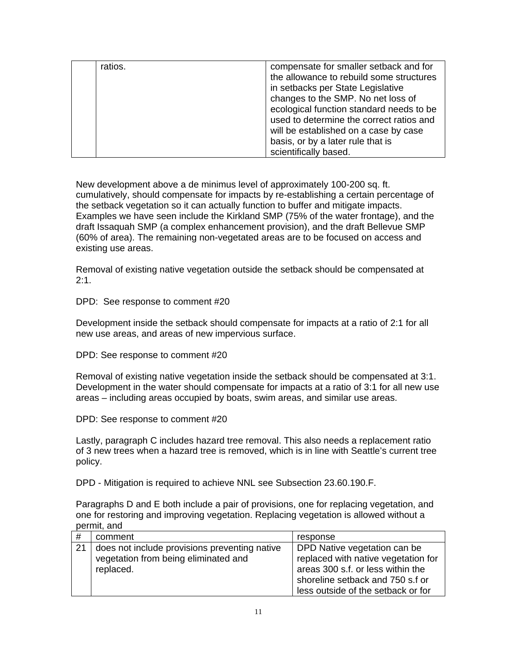| ratios. | compensate for smaller setback and for   |
|---------|------------------------------------------|
|         | the allowance to rebuild some structures |
|         | in setbacks per State Legislative        |
|         | changes to the SMP. No net loss of       |
|         | ecological function standard needs to be |
|         | used to determine the correct ratios and |
|         | will be established on a case by case    |
|         | basis, or by a later rule that is        |
|         | scientifically based.                    |

New development above a de minimus level of approximately 100-200 sq. ft. cumulatively, should compensate for impacts by re-establishing a certain percentage of the setback vegetation so it can actually function to buffer and mitigate impacts. Examples we have seen include the Kirkland SMP (75% of the water frontage), and the draft Issaquah SMP (a complex enhancement provision), and the draft Bellevue SMP (60% of area). The remaining non-vegetated areas are to be focused on access and existing use areas.

Removal of existing native vegetation outside the setback should be compensated at  $2:1.$ 

DPD: See response to comment #20

Development inside the setback should compensate for impacts at a ratio of 2:1 for all new use areas, and areas of new impervious surface.

DPD: See response to comment #20

Removal of existing native vegetation inside the setback should be compensated at 3:1. Development in the water should compensate for impacts at a ratio of 3:1 for all new use areas – including areas occupied by boats, swim areas, and similar use areas.

DPD: See response to comment #20

Lastly, paragraph C includes hazard tree removal. This also needs a replacement ratio of 3 new trees when a hazard tree is removed, which is in line with Seattle's current tree policy.

DPD - Mitigation is required to achieve NNL see Subsection 23.60.190.F.

Paragraphs D and E both include a pair of provisions, one for replacing vegetation, and one for restoring and improving vegetation. Replacing vegetation is allowed without a permit, and

| #  | comment                                       | response                            |
|----|-----------------------------------------------|-------------------------------------|
| 21 | does not include provisions preventing native | DPD Native vegetation can be        |
|    | vegetation from being eliminated and          | replaced with native vegetation for |
|    | replaced.                                     | areas 300 s.f. or less within the   |
|    |                                               | shoreline setback and 750 s.f or    |
|    |                                               | less outside of the setback or for  |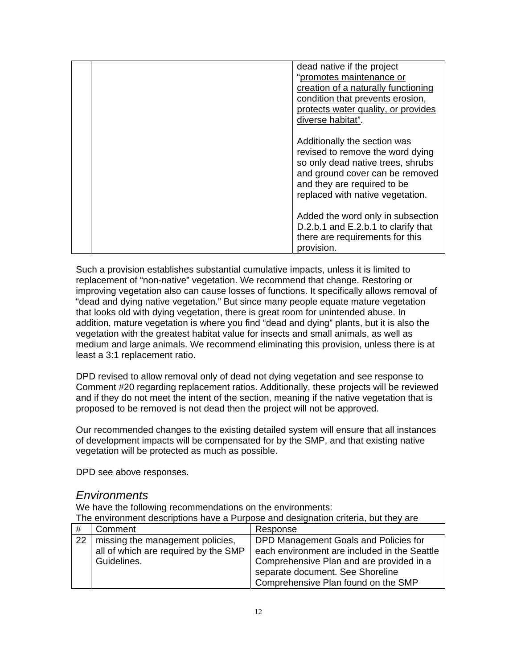| dead native if the project<br>"promotes maintenance or<br>creation of a naturally functioning<br>condition that prevents erosion,<br>protects water quality, or provides                                                         |
|----------------------------------------------------------------------------------------------------------------------------------------------------------------------------------------------------------------------------------|
| diverse habitat".<br>Additionally the section was<br>revised to remove the word dying<br>so only dead native trees, shrubs<br>and ground cover can be removed<br>and they are required to be<br>replaced with native vegetation. |
| Added the word only in subsection<br>D.2.b.1 and E.2.b.1 to clarify that<br>there are requirements for this<br>provision.                                                                                                        |

Such a provision establishes substantial cumulative impacts, unless it is limited to replacement of "non-native" vegetation. We recommend that change. Restoring or improving vegetation also can cause losses of functions. It specifically allows removal of "dead and dying native vegetation." But since many people equate mature vegetation that looks old with dying vegetation, there is great room for unintended abuse. In addition, mature vegetation is where you find "dead and dying" plants, but it is also the vegetation with the greatest habitat value for insects and small animals, as well as medium and large animals. We recommend eliminating this provision, unless there is at least a 3:1 replacement ratio.

DPD revised to allow removal only of dead not dying vegetation and see response to Comment #20 regarding replacement ratios. Additionally, these projects will be reviewed and if they do not meet the intent of the section, meaning if the native vegetation that is proposed to be removed is not dead then the project will not be approved.

Our recommended changes to the existing detailed system will ensure that all instances of development impacts will be compensated for by the SMP, and that existing native vegetation will be protected as much as possible.

DPD see above responses.

### *Environments*

We have the following recommendations on the environments: The environment descriptions have a Purpose and designation criteria, but they are

|    | Comment                              | Response                                     |
|----|--------------------------------------|----------------------------------------------|
| 22 | missing the management policies,     | DPD Management Goals and Policies for        |
|    | all of which are required by the SMP | each environment are included in the Seattle |
|    | Guidelines.                          | Comprehensive Plan and are provided in a     |
|    |                                      | separate document. See Shoreline             |
|    |                                      | Comprehensive Plan found on the SMP          |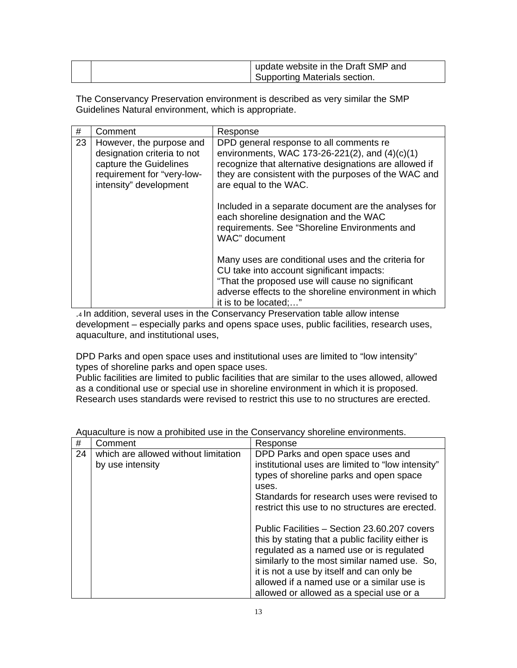| <sup>1</sup> update website in the Draft SMP and |
|--------------------------------------------------|
| Supporting Materials section.                    |

The Conservancy Preservation environment is described as very similar the SMP Guidelines Natural environment, which is appropriate.

| #  | Comment                                                                                                                                   | Response                                                                                                                                                                                                                               |
|----|-------------------------------------------------------------------------------------------------------------------------------------------|----------------------------------------------------------------------------------------------------------------------------------------------------------------------------------------------------------------------------------------|
| 23 | However, the purpose and<br>designation criteria to not<br>capture the Guidelines<br>requirement for "very-low-<br>intensity" development | DPD general response to all comments re<br>environments, WAC 173-26-221(2), and $(4)(c)(1)$<br>recognize that alternative designations are allowed if<br>they are consistent with the purposes of the WAC and<br>are equal to the WAC. |
|    |                                                                                                                                           | Included in a separate document are the analyses for<br>each shoreline designation and the WAC<br>requirements. See "Shoreline Environments and<br>WAC" document                                                                       |
|    |                                                                                                                                           | Many uses are conditional uses and the criteria for<br>CU take into account significant impacts:<br>"That the proposed use will cause no significant<br>adverse effects to the shoreline environment in which<br>it is to be located;" |

.4 In addition, several uses in the Conservancy Preservation table allow intense development – especially parks and opens space uses, public facilities, research uses, aquaculture, and institutional uses,

DPD Parks and open space uses and institutional uses are limited to "low intensity" types of shoreline parks and open space uses.

Public facilities are limited to public facilities that are similar to the uses allowed, allowed as a conditional use or special use in shoreline environment in which it is proposed. Research uses standards were revised to restrict this use to no structures are erected.

| #  | Comment                              | Response                                                                                                                                                                                                                                                                                                                            |
|----|--------------------------------------|-------------------------------------------------------------------------------------------------------------------------------------------------------------------------------------------------------------------------------------------------------------------------------------------------------------------------------------|
| 24 | which are allowed without limitation | DPD Parks and open space uses and                                                                                                                                                                                                                                                                                                   |
|    | by use intensity                     | institutional uses are limited to "low intensity"<br>types of shoreline parks and open space<br>uses.<br>Standards for research uses were revised to<br>restrict this use to no structures are erected.                                                                                                                             |
|    |                                      | Public Facilities – Section 23.60.207 covers<br>this by stating that a public facility either is<br>regulated as a named use or is regulated<br>similarly to the most similar named use. So,<br>it is not a use by itself and can only be<br>allowed if a named use or a similar use is<br>allowed or allowed as a special use or a |

|  | Aquaculture is now a prohibited use in the Conservancy shoreline environments. |
|--|--------------------------------------------------------------------------------|
|--|--------------------------------------------------------------------------------|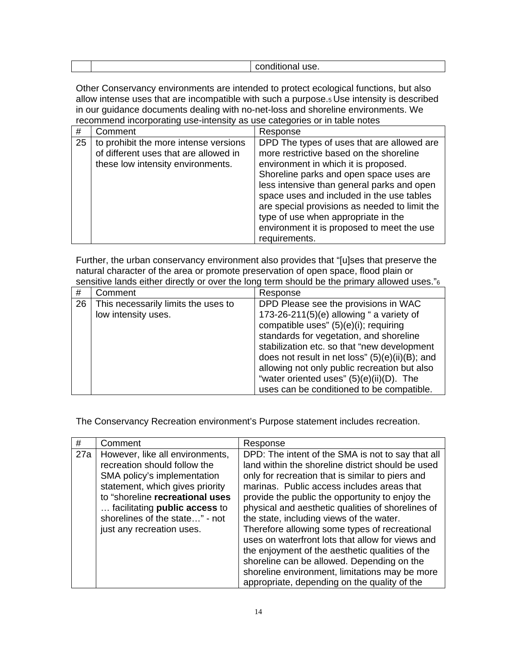| ov. |  |  |
|-----|--|--|
|     |  |  |

Other Conservancy environments are intended to protect ecological functions, but also allow intense uses that are incompatible with such a purpose.5 Use intensity is described in our guidance documents dealing with no-net-loss and shoreline environments. We recommend incorporating use-intensity as use categories or in table notes

| #  | Comment                                                                                                             | Response                                                                                                                                                                                                                                                                                                                                                                                                                   |
|----|---------------------------------------------------------------------------------------------------------------------|----------------------------------------------------------------------------------------------------------------------------------------------------------------------------------------------------------------------------------------------------------------------------------------------------------------------------------------------------------------------------------------------------------------------------|
| 25 | to prohibit the more intense versions<br>of different uses that are allowed in<br>these low intensity environments. | DPD The types of uses that are allowed are<br>more restrictive based on the shoreline<br>environment in which it is proposed.<br>Shoreline parks and open space uses are<br>less intensive than general parks and open<br>space uses and included in the use tables<br>are special provisions as needed to limit the<br>type of use when appropriate in the<br>environment it is proposed to meet the use<br>requirements. |

Further, the urban conservancy environment also provides that "[u]ses that preserve the natural character of the area or promote preservation of open space, flood plain or sensitive lands either directly or over the long term should be the primary allowed uses."<sup>6</sup>

| #  | Comment                                                    | Response                                                                                                                                                                                                                                                                                                                                                                                                              |
|----|------------------------------------------------------------|-----------------------------------------------------------------------------------------------------------------------------------------------------------------------------------------------------------------------------------------------------------------------------------------------------------------------------------------------------------------------------------------------------------------------|
| 26 | This necessarily limits the uses to<br>low intensity uses. | DPD Please see the provisions in WAC<br>173-26-211(5)(e) allowing " a variety of<br>compatible uses" (5)(e)(i); requiring<br>standards for vegetation, and shoreline<br>stabilization etc. so that "new development<br>does not result in net loss" $(5)(e)(ii)(B)$ ; and<br>allowing not only public recreation but also<br>"water oriented uses" $(5)(e)(ii)(D)$ . The<br>uses can be conditioned to be compatible. |

The Conservancy Recreation environment's Purpose statement includes recreation.

| #   | Comment                                                                                                                                                                                                                                                                     | Response                                                                                                                                                                                                                                                                                                                                                                                                                                                                                                                                                                                                                                                             |
|-----|-----------------------------------------------------------------------------------------------------------------------------------------------------------------------------------------------------------------------------------------------------------------------------|----------------------------------------------------------------------------------------------------------------------------------------------------------------------------------------------------------------------------------------------------------------------------------------------------------------------------------------------------------------------------------------------------------------------------------------------------------------------------------------------------------------------------------------------------------------------------------------------------------------------------------------------------------------------|
| 27a | However, like all environments,<br>recreation should follow the<br>SMA policy's implementation<br>statement, which gives priority<br>to "shoreline recreational uses<br>facilitating <b>public access</b> to<br>shorelines of the state" - not<br>just any recreation uses. | DPD: The intent of the SMA is not to say that all<br>land within the shoreline district should be used<br>only for recreation that is similar to piers and<br>marinas. Public access includes areas that<br>provide the public the opportunity to enjoy the<br>physical and aesthetic qualities of shorelines of<br>the state, including views of the water.<br>Therefore allowing some types of recreational<br>uses on waterfront lots that allow for views and<br>the enjoyment of the aesthetic qualities of the<br>shoreline can be allowed. Depending on the<br>shoreline environment, limitations may be more<br>appropriate, depending on the quality of the |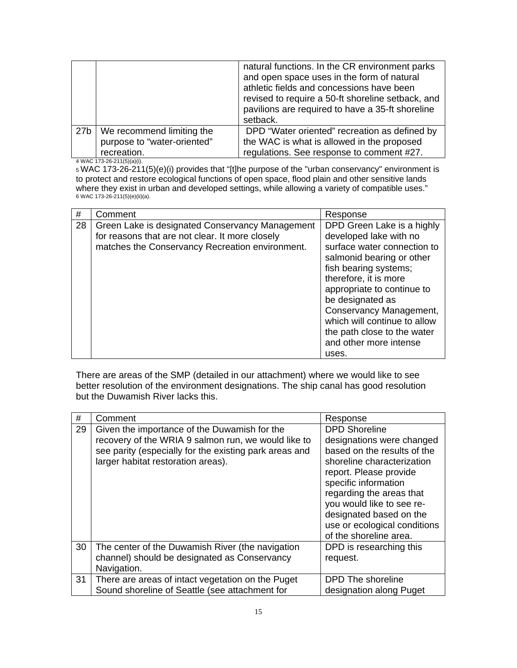|                 |                             | natural functions. In the CR environment parks<br>and open space uses in the form of natural<br>athletic fields and concessions have been<br>revised to require a 50-ft shoreline setback, and<br>pavilions are required to have a 35-ft shoreline<br>setback. |
|-----------------|-----------------------------|----------------------------------------------------------------------------------------------------------------------------------------------------------------------------------------------------------------------------------------------------------------|
| 27 <sub>b</sub> | We recommend limiting the   | DPD "Water oriented" recreation as defined by                                                                                                                                                                                                                  |
|                 | purpose to "water-oriented" | the WAC is what is allowed in the proposed                                                                                                                                                                                                                     |
|                 | recreation.                 | regulations. See response to comment #27.                                                                                                                                                                                                                      |

4 WAC 173-26-211(5)(a)(i).

5 WAC 173-26-211(5)(e)(i) provides that "[t]he purpose of the "urban conservancy" environment is to protect and restore ecological functions of open space, flood plain and other sensitive lands where they exist in urban and developed settings, while allowing a variety of compatible uses." 6 WAC 173-26-211(5)(e)(ii)(a).

| #  | Comment                                                                                                                                               | Response                                                                                                                                                                                                                                                                                                                                          |
|----|-------------------------------------------------------------------------------------------------------------------------------------------------------|---------------------------------------------------------------------------------------------------------------------------------------------------------------------------------------------------------------------------------------------------------------------------------------------------------------------------------------------------|
| 28 | Green Lake is designated Conservancy Management<br>for reasons that are not clear. It more closely<br>matches the Conservancy Recreation environment. | DPD Green Lake is a highly<br>developed lake with no<br>surface water connection to<br>salmonid bearing or other<br>fish bearing systems;<br>therefore, it is more<br>appropriate to continue to<br>be designated as<br>Conservancy Management,<br>which will continue to allow<br>the path close to the water<br>and other more intense<br>uses. |

There are areas of the SMP (detailed in our attachment) where we would like to see better resolution of the environment designations. The ship canal has good resolution but the Duwamish River lacks this.

| #  | Comment                                                                                                                                                                                             | Response                                                                                                                                                                                                                                                                                                       |
|----|-----------------------------------------------------------------------------------------------------------------------------------------------------------------------------------------------------|----------------------------------------------------------------------------------------------------------------------------------------------------------------------------------------------------------------------------------------------------------------------------------------------------------------|
| 29 | Given the importance of the Duwamish for the<br>recovery of the WRIA 9 salmon run, we would like to<br>see parity (especially for the existing park areas and<br>larger habitat restoration areas). | <b>DPD Shoreline</b><br>designations were changed<br>based on the results of the<br>shoreline characterization<br>report. Please provide<br>specific information<br>regarding the areas that<br>you would like to see re-<br>designated based on the<br>use or ecological conditions<br>of the shoreline area. |
| 30 | The center of the Duwamish River (the navigation<br>channel) should be designated as Conservancy<br>Navigation.                                                                                     | DPD is researching this<br>request.                                                                                                                                                                                                                                                                            |
| 31 | There are areas of intact vegetation on the Puget<br>Sound shoreline of Seattle (see attachment for                                                                                                 | DPD The shoreline<br>designation along Puget                                                                                                                                                                                                                                                                   |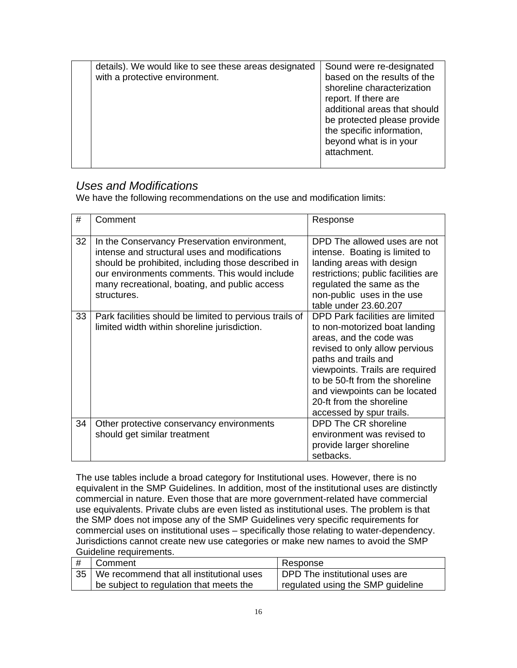|  | details). We would like to see these areas designated<br>with a protective environment. | Sound were re-designated<br>based on the results of the<br>shoreline characterization<br>report. If there are<br>additional areas that should<br>be protected please provide<br>the specific information,<br>beyond what is in your<br>attachment. |
|--|-----------------------------------------------------------------------------------------|----------------------------------------------------------------------------------------------------------------------------------------------------------------------------------------------------------------------------------------------------|
|--|-----------------------------------------------------------------------------------------|----------------------------------------------------------------------------------------------------------------------------------------------------------------------------------------------------------------------------------------------------|

### *Uses and Modifications*

We have the following recommendations on the use and modification limits:

| #  | Comment                                                                                                                                                                                                                                                              | Response                                                                                                                                                                                                                                                                                                            |
|----|----------------------------------------------------------------------------------------------------------------------------------------------------------------------------------------------------------------------------------------------------------------------|---------------------------------------------------------------------------------------------------------------------------------------------------------------------------------------------------------------------------------------------------------------------------------------------------------------------|
| 32 | In the Conservancy Preservation environment,<br>intense and structural uses and modifications<br>should be prohibited, including those described in<br>our environments comments. This would include<br>many recreational, boating, and public access<br>structures. | DPD The allowed uses are not<br>intense. Boating is limited to<br>landing areas with design<br>restrictions; public facilities are<br>regulated the same as the<br>non-public uses in the use<br>table under 23.60.207                                                                                              |
| 33 | Park facilities should be limited to pervious trails of<br>limited width within shoreline jurisdiction.                                                                                                                                                              | DPD Park facilities are limited<br>to non-motorized boat landing<br>areas, and the code was<br>revised to only allow pervious<br>paths and trails and<br>viewpoints. Trails are required<br>to be 50-ft from the shoreline<br>and viewpoints can be located<br>20-ft from the shoreline<br>accessed by spur trails. |
| 34 | Other protective conservancy environments<br>should get similar treatment                                                                                                                                                                                            | DPD The CR shoreline<br>environment was revised to<br>provide larger shoreline<br>setbacks.                                                                                                                                                                                                                         |

The use tables include a broad category for Institutional uses. However, there is no equivalent in the SMP Guidelines. In addition, most of the institutional uses are distinctly commercial in nature. Even those that are more government-related have commercial use equivalents. Private clubs are even listed as institutional uses. The problem is that the SMP does not impose any of the SMP Guidelines very specific requirements for commercial uses on institutional uses – specifically those relating to water-dependency. Jurisdictions cannot create new use categories or make new names to avoid the SMP Guideline requirements.

| # | Comment                                       | Response                            |
|---|-----------------------------------------------|-------------------------------------|
|   | 35   We recommend that all institutional uses | DPD The institutional uses are      |
|   | I be subject to regulation that meets the     | I regulated using the SMP guideline |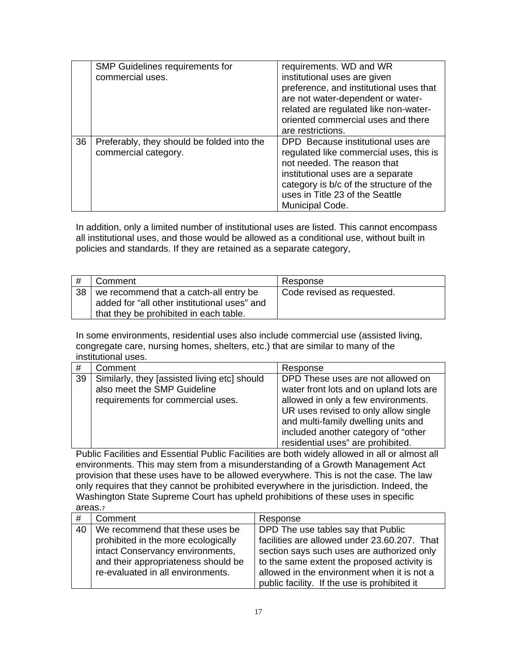|    | <b>SMP Guidelines requirements for</b><br>commercial uses.         | requirements. WD and WR<br>institutional uses are given<br>preference, and institutional uses that<br>are not water-dependent or water-<br>related are regulated like non-water-<br>oriented commercial uses and there<br>are restrictions.        |
|----|--------------------------------------------------------------------|----------------------------------------------------------------------------------------------------------------------------------------------------------------------------------------------------------------------------------------------------|
| 36 | Preferably, they should be folded into the<br>commercial category. | DPD Because institutional uses are<br>regulated like commercial uses, this is<br>not needed. The reason that<br>institutional uses are a separate<br>category is b/c of the structure of the<br>uses in Title 23 of the Seattle<br>Municipal Code. |

In addition, only a limited number of institutional uses are listed. This cannot encompass all institutional uses, and those would be allowed as a conditional use, without built in policies and standards. If they are retained as a separate category,

| #  | Comment                                      | Response                   |
|----|----------------------------------------------|----------------------------|
| 38 | we recommend that a catch-all entry be       | Code revised as requested. |
|    | added for "all other institutional uses" and |                            |
|    | that they be prohibited in each table.       |                            |

In some environments, residential uses also include commercial use (assisted living, congregate care, nursing homes, shelters, etc.) that are similar to many of the institutional uses.

| #  | Comment                                                                                                          | Response                                                                                                                                                                                                                                                                       |
|----|------------------------------------------------------------------------------------------------------------------|--------------------------------------------------------------------------------------------------------------------------------------------------------------------------------------------------------------------------------------------------------------------------------|
| 39 | Similarly, they [assisted living etc] should<br>also meet the SMP Guideline<br>requirements for commercial uses. | DPD These uses are not allowed on<br>water front lots and on upland lots are<br>allowed in only a few environments.<br>UR uses revised to only allow single<br>and multi-family dwelling units and<br>included another category of "other<br>residential uses" are prohibited. |

Public Facilities and Essential Public Facilities are both widely allowed in all or almost all environments. This may stem from a misunderstanding of a Growth Management Act provision that these uses have to be allowed everywhere. This is not the case. The law only requires that they cannot be prohibited everywhere in the jurisdiction. Indeed, the Washington State Supreme Court has upheld prohibitions of these uses in specific areas.7

| #  | Comment                             | Response                                     |  |
|----|-------------------------------------|----------------------------------------------|--|
| 40 | We recommend that these uses be     | DPD The use tables say that Public           |  |
|    | prohibited in the more ecologically | facilities are allowed under 23.60.207. That |  |
|    | intact Conservancy environments,    | section says such uses are authorized only   |  |
|    | and their appropriateness should be | to the same extent the proposed activity is  |  |
|    | re-evaluated in all environments.   | allowed in the environment when it is not a  |  |
|    |                                     | public facility. If the use is prohibited it |  |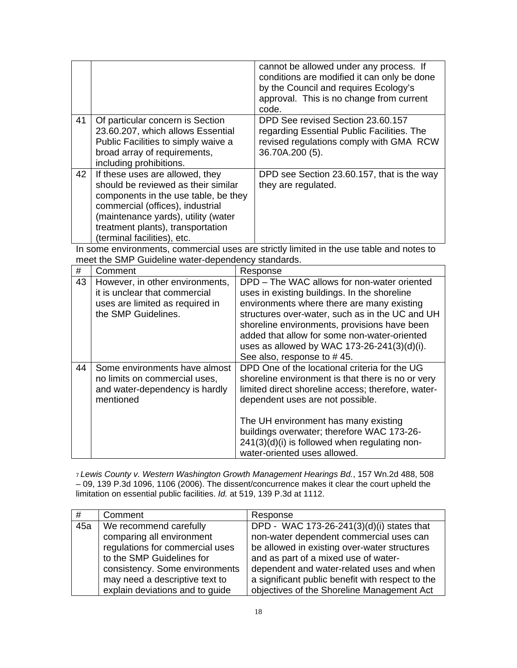|    |                                                                                          | cannot be allowed under any process. If<br>conditions are modified it can only be done<br>by the Council and requires Ecology's<br>approval. This is no change from current<br>code. |  |  |
|----|------------------------------------------------------------------------------------------|--------------------------------------------------------------------------------------------------------------------------------------------------------------------------------------|--|--|
| 41 | Of particular concern is Section                                                         | DPD See revised Section 23.60.157                                                                                                                                                    |  |  |
|    | 23.60.207, which allows Essential                                                        | regarding Essential Public Facilities. The                                                                                                                                           |  |  |
|    | Public Facilities to simply waive a                                                      | revised regulations comply with GMA RCW                                                                                                                                              |  |  |
|    | broad array of requirements,                                                             | 36.70A.200 (5).                                                                                                                                                                      |  |  |
|    | including prohibitions.                                                                  |                                                                                                                                                                                      |  |  |
| 42 | If these uses are allowed, they                                                          | DPD see Section 23.60.157, that is the way                                                                                                                                           |  |  |
|    | should be reviewed as their similar                                                      | they are regulated.                                                                                                                                                                  |  |  |
|    | components in the use table, be they                                                     |                                                                                                                                                                                      |  |  |
|    | commercial (offices), industrial                                                         |                                                                                                                                                                                      |  |  |
|    | (maintenance yards), utility (water                                                      |                                                                                                                                                                                      |  |  |
|    | treatment plants), transportation                                                        |                                                                                                                                                                                      |  |  |
|    | (terminal facilities), etc.                                                              |                                                                                                                                                                                      |  |  |
|    | In some environments, commercial uses are strictly limited in the use table and notes to |                                                                                                                                                                                      |  |  |
|    | meet the SMP Guideline water-dependency standards.                                       |                                                                                                                                                                                      |  |  |

|    | moot mo Onin Calaomio mator apportacito; ctariaarao.                                                                       |                                                                                                                                                                                                                                                                                                                                                                           |
|----|----------------------------------------------------------------------------------------------------------------------------|---------------------------------------------------------------------------------------------------------------------------------------------------------------------------------------------------------------------------------------------------------------------------------------------------------------------------------------------------------------------------|
| #  | Comment                                                                                                                    | Response                                                                                                                                                                                                                                                                                                                                                                  |
| 43 | However, in other environments,<br>it is unclear that commercial<br>uses are limited as required in<br>the SMP Guidelines. | DPD – The WAC allows for non-water oriented<br>uses in existing buildings. In the shoreline<br>environments where there are many existing<br>structures over-water, such as in the UC and UH<br>shoreline environments, provisions have been<br>added that allow for some non-water-oriented<br>uses as allowed by WAC 173-26-241(3)(d)(i).<br>See also, response to #45. |
| 44 | Some environments have almost<br>no limits on commercial uses,<br>and water-dependency is hardly<br>mentioned              | DPD One of the locational criteria for the UG<br>shoreline environment is that there is no or very<br>limited direct shoreline access; therefore, water-<br>dependent uses are not possible.<br>The UH environment has many existing<br>buildings overwater; therefore WAC 173-26-<br>241(3)(d)(i) is followed when regulating non-<br>water-oriented uses allowed.       |

<sup>7</sup>*Lewis County v. Western Washington Growth Management Hearings Bd.*, 157 Wn.2d 488, 508 – 09, 139 P.3d 1096, 1106 (2006). The dissent/concurrence makes it clear the court upheld the limitation on essential public facilities. *Id.* at 519, 139 P.3d at 1112.

| #   | Comment                         | Response                                         |
|-----|---------------------------------|--------------------------------------------------|
| 45a | We recommend carefully          | DPD - WAC 173-26-241(3)(d)(i) states that        |
|     | comparing all environment       | non-water dependent commercial uses can          |
|     | regulations for commercial uses | be allowed in existing over-water structures     |
|     | to the SMP Guidelines for       | and as part of a mixed use of water-             |
|     | consistency. Some environments  | dependent and water-related uses and when        |
|     | may need a descriptive text to  | a significant public benefit with respect to the |
|     | explain deviations and to guide | objectives of the Shoreline Management Act       |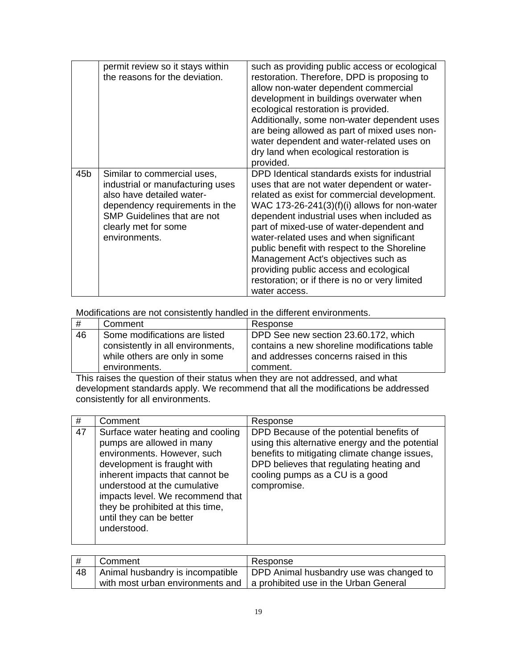|     | permit review so it stays within<br>the reasons for the deviation.                                                                                                                                            | such as providing public access or ecological<br>restoration. Therefore, DPD is proposing to<br>allow non-water dependent commercial<br>development in buildings overwater when<br>ecological restoration is provided.<br>Additionally, some non-water dependent uses<br>are being allowed as part of mixed uses non-<br>water dependent and water-related uses on<br>dry land when ecological restoration is<br>provided.                                                                                                               |
|-----|---------------------------------------------------------------------------------------------------------------------------------------------------------------------------------------------------------------|------------------------------------------------------------------------------------------------------------------------------------------------------------------------------------------------------------------------------------------------------------------------------------------------------------------------------------------------------------------------------------------------------------------------------------------------------------------------------------------------------------------------------------------|
| 45b | Similar to commercial uses,<br>industrial or manufacturing uses<br>also have detailed water-<br>dependency requirements in the<br><b>SMP Guidelines that are not</b><br>clearly met for some<br>environments. | DPD Identical standards exists for industrial<br>uses that are not water dependent or water-<br>related as exist for commercial development.<br>WAC 173-26-241 $(3)(f)(i)$ allows for non-water<br>dependent industrial uses when included as<br>part of mixed-use of water-dependent and<br>water-related uses and when significant<br>public benefit with respect to the Shoreline<br>Management Act's objectives such as<br>providing public access and ecological<br>restoration; or if there is no or very limited<br>water access. |

Modifications are not consistently handled in the different environments.

| #  | Comment                           | Response                                     |
|----|-----------------------------------|----------------------------------------------|
| 46 | Some modifications are listed     | DPD See new section 23.60.172, which         |
|    | consistently in all environments, | contains a new shoreline modifications table |
|    | while others are only in some     | and addresses concerns raised in this        |
|    | environments.                     | comment.                                     |

This raises the question of their status when they are not addressed, and what development standards apply. We recommend that all the modifications be addressed consistently for all environments.

| #  | Comment                                                                                                                                                                                                                                                                                                            | Response                                                                                                                                                                                                                                   |
|----|--------------------------------------------------------------------------------------------------------------------------------------------------------------------------------------------------------------------------------------------------------------------------------------------------------------------|--------------------------------------------------------------------------------------------------------------------------------------------------------------------------------------------------------------------------------------------|
| 47 | Surface water heating and cooling<br>pumps are allowed in many<br>environments. However, such<br>development is fraught with<br>inherent impacts that cannot be<br>understood at the cumulative<br>impacts level. We recommend that<br>they be prohibited at this time,<br>until they can be better<br>understood. | DPD Because of the potential benefits of<br>using this alternative energy and the potential<br>benefits to mitigating climate change issues,<br>DPD believes that regulating heating and<br>cooling pumps as a CU is a good<br>compromise. |

| #  | Comment | Response                                                                   |
|----|---------|----------------------------------------------------------------------------|
| 48 |         | Animal husbandry is incompatible   DPD Animal husbandry use was changed to |
|    |         | with most urban environments and   a prohibited use in the Urban General   |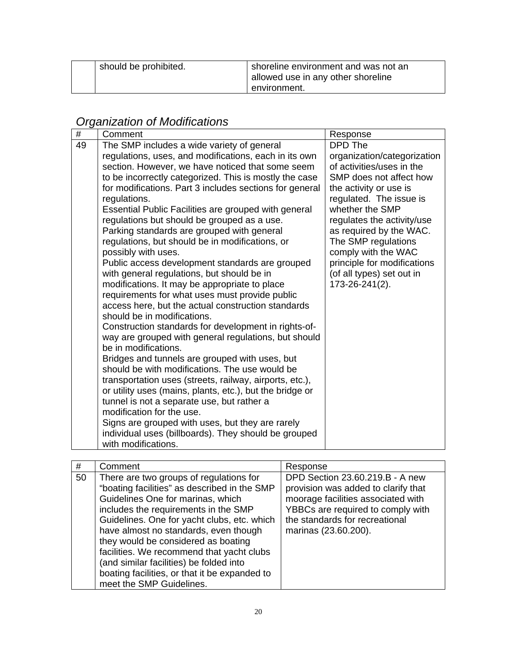| should be prohibited. | shoreline environment and was not an<br>allowed use in any other shoreline |
|-----------------------|----------------------------------------------------------------------------|
|                       | environment.                                                               |

# *Organization of Modifications*

| #  | Comment                                                                                         | Response                    |
|----|-------------------------------------------------------------------------------------------------|-----------------------------|
| 49 | The SMP includes a wide variety of general                                                      | DPD The                     |
|    | regulations, uses, and modifications, each in its own                                           | organization/categorization |
|    | section. However, we have noticed that some seem                                                | of activities/uses in the   |
|    | to be incorrectly categorized. This is mostly the case                                          | SMP does not affect how     |
|    | for modifications. Part 3 includes sections for general                                         | the activity or use is      |
|    | regulations.                                                                                    | regulated. The issue is     |
|    | Essential Public Facilities are grouped with general                                            | whether the SMP             |
|    | regulations but should be grouped as a use.                                                     | regulates the activity/use  |
|    | Parking standards are grouped with general                                                      | as required by the WAC.     |
|    | regulations, but should be in modifications, or                                                 | The SMP regulations         |
|    | possibly with uses.                                                                             | comply with the WAC         |
|    | Public access development standards are grouped                                                 | principle for modifications |
|    | with general regulations, but should be in                                                      | (of all types) set out in   |
|    | modifications. It may be appropriate to place<br>requirements for what uses must provide public | 173-26-241(2).              |
|    | access here, but the actual construction standards                                              |                             |
|    | should be in modifications.                                                                     |                             |
|    | Construction standards for development in rights-of-                                            |                             |
|    | way are grouped with general regulations, but should                                            |                             |
|    | be in modifications.                                                                            |                             |
|    | Bridges and tunnels are grouped with uses, but                                                  |                             |
|    | should be with modifications. The use would be                                                  |                             |
|    | transportation uses (streets, railway, airports, etc.),                                         |                             |
|    | or utility uses (mains, plants, etc.), but the bridge or                                        |                             |
|    | tunnel is not a separate use, but rather a                                                      |                             |
|    | modification for the use.                                                                       |                             |
|    | Signs are grouped with uses, but they are rarely                                                |                             |
|    | individual uses (billboards). They should be grouped                                            |                             |
|    | with modifications.                                                                             |                             |

| #  | Comment                                                                                                                                                                                                                                                                                                                                                                                                                                                                  | Response                                                                                                                                                                                                    |
|----|--------------------------------------------------------------------------------------------------------------------------------------------------------------------------------------------------------------------------------------------------------------------------------------------------------------------------------------------------------------------------------------------------------------------------------------------------------------------------|-------------------------------------------------------------------------------------------------------------------------------------------------------------------------------------------------------------|
| 50 | There are two groups of regulations for<br>"boating facilities" as described in the SMP<br>Guidelines One for marinas, which<br>includes the requirements in the SMP<br>Guidelines. One for yacht clubs, etc. which<br>have almost no standards, even though<br>they would be considered as boating<br>facilities. We recommend that yacht clubs<br>(and similar facilities) be folded into<br>boating facilities, or that it be expanded to<br>meet the SMP Guidelines. | DPD Section 23.60.219.B - A new<br>provision was added to clarify that<br>moorage facilities associated with<br>YBBCs are required to comply with<br>the standards for recreational<br>marinas (23.60.200). |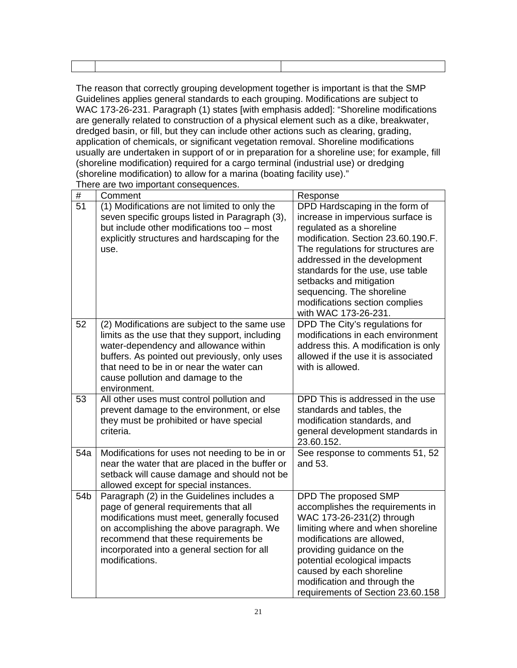The reason that correctly grouping development together is important is that the SMP Guidelines applies general standards to each grouping. Modifications are subject to WAC 173-26-231. Paragraph (1) states [with emphasis added]: "Shoreline modifications are generally related to construction of a physical element such as a dike, breakwater, dredged basin, or fill, but they can include other actions such as clearing, grading, application of chemicals, or significant vegetation removal. Shoreline modifications usually are undertaken in support of or in preparation for a shoreline use; for example, fill (shoreline modification) required for a cargo terminal (industrial use) or dredging (shoreline modification) to allow for a marina (boating facility use)."

| #               | Comment                                                                                                                                                                                                                                                                                    | Response                                                                                                                                                                                                                                                                                                                                                          |
|-----------------|--------------------------------------------------------------------------------------------------------------------------------------------------------------------------------------------------------------------------------------------------------------------------------------------|-------------------------------------------------------------------------------------------------------------------------------------------------------------------------------------------------------------------------------------------------------------------------------------------------------------------------------------------------------------------|
| 51              | (1) Modifications are not limited to only the<br>seven specific groups listed in Paragraph (3),<br>but include other modifications too - most<br>explicitly structures and hardscaping for the<br>use.                                                                                     | DPD Hardscaping in the form of<br>increase in impervious surface is<br>requlated as a shoreline<br>modification. Section 23.60.190.F.<br>The regulations for structures are<br>addressed in the development<br>standards for the use, use table<br>setbacks and mitigation<br>sequencing. The shoreline<br>modifications section complies<br>with WAC 173-26-231. |
| 52              | (2) Modifications are subject to the same use<br>limits as the use that they support, including<br>water-dependency and allowance within<br>buffers. As pointed out previously, only uses<br>that need to be in or near the water can<br>cause pollution and damage to the<br>environment. | DPD The City's regulations for<br>modifications in each environment<br>address this. A modification is only<br>allowed if the use it is associated<br>with is allowed.                                                                                                                                                                                            |
| 53              | All other uses must control pollution and<br>prevent damage to the environment, or else<br>they must be prohibited or have special<br>criteria.                                                                                                                                            | DPD This is addressed in the use<br>standards and tables, the<br>modification standards, and<br>general development standards in<br>23.60.152.                                                                                                                                                                                                                    |
| 54a             | Modifications for uses not needing to be in or<br>near the water that are placed in the buffer or<br>setback will cause damage and should not be<br>allowed except for special instances.                                                                                                  | See response to comments 51, 52<br>and 53.                                                                                                                                                                                                                                                                                                                        |
| 54 <sub>b</sub> | Paragraph (2) in the Guidelines includes a<br>page of general requirements that all<br>modifications must meet, generally focused<br>on accomplishing the above paragraph. We<br>recommend that these requirements be<br>incorporated into a general section for all<br>modifications.     | DPD The proposed SMP<br>accomplishes the requirements in<br>WAC 173-26-231(2) through<br>limiting where and when shoreline<br>modifications are allowed,<br>providing guidance on the<br>potential ecological impacts<br>caused by each shoreline<br>modification and through the<br>requirements of Section 23.60.158                                            |

There are two important consequences.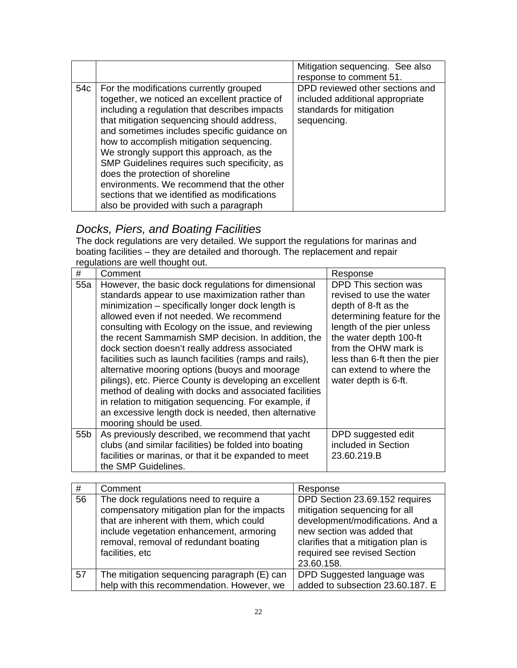|     |                                                                                                                                                                                                                                                                                                                                                                                                                                                                                                                                                            | Mitigation sequencing. See also<br>response to comment 51.                                                    |
|-----|------------------------------------------------------------------------------------------------------------------------------------------------------------------------------------------------------------------------------------------------------------------------------------------------------------------------------------------------------------------------------------------------------------------------------------------------------------------------------------------------------------------------------------------------------------|---------------------------------------------------------------------------------------------------------------|
| 54c | For the modifications currently grouped<br>together, we noticed an excellent practice of<br>including a regulation that describes impacts<br>that mitigation sequencing should address,<br>and sometimes includes specific guidance on<br>how to accomplish mitigation sequencing.<br>We strongly support this approach, as the<br>SMP Guidelines requires such specificity, as<br>does the protection of shoreline<br>environments. We recommend that the other<br>sections that we identified as modifications<br>also be provided with such a paragraph | DPD reviewed other sections and<br>included additional appropriate<br>standards for mitigation<br>sequencing. |

# *Docks, Piers, and Boating Facilities*

The dock regulations are very detailed. We support the regulations for marinas and boating facilities – they are detailed and thorough. The replacement and repair regulations are well thought out.

| #               | Comment                                                                                                                                                                                                                                                                                                                                                                                                                                                                                                                                                                                                                                                                                                                                                | Response                                                                                                                                                                                                                                                                  |
|-----------------|--------------------------------------------------------------------------------------------------------------------------------------------------------------------------------------------------------------------------------------------------------------------------------------------------------------------------------------------------------------------------------------------------------------------------------------------------------------------------------------------------------------------------------------------------------------------------------------------------------------------------------------------------------------------------------------------------------------------------------------------------------|---------------------------------------------------------------------------------------------------------------------------------------------------------------------------------------------------------------------------------------------------------------------------|
| 55a             | However, the basic dock regulations for dimensional<br>standards appear to use maximization rather than<br>minimization – specifically longer dock length is<br>allowed even if not needed. We recommend<br>consulting with Ecology on the issue, and reviewing<br>the recent Sammamish SMP decision. In addition, the<br>dock section doesn't really address associated<br>facilities such as launch facilities (ramps and rails),<br>alternative mooring options (buoys and moorage<br>pilings), etc. Pierce County is developing an excellent<br>method of dealing with docks and associated facilities<br>in relation to mitigation sequencing. For example, if<br>an excessive length dock is needed, then alternative<br>mooring should be used. | DPD This section was<br>revised to use the water<br>depth of 8-ft as the<br>determining feature for the<br>length of the pier unless<br>the water depth 100-ft<br>from the OHW mark is<br>less than 6-ft then the pier<br>can extend to where the<br>water depth is 6-ft. |
| 55 <sub>b</sub> | As previously described, we recommend that yacht<br>clubs (and similar facilities) be folded into boating<br>facilities or marinas, or that it be expanded to meet<br>the SMP Guidelines.                                                                                                                                                                                                                                                                                                                                                                                                                                                                                                                                                              | DPD suggested edit<br>included in Section<br>23.60.219.B                                                                                                                                                                                                                  |

| #  | Comment                                                                                                                                                                                                                                    | Response                                                                                                                                                                                                               |
|----|--------------------------------------------------------------------------------------------------------------------------------------------------------------------------------------------------------------------------------------------|------------------------------------------------------------------------------------------------------------------------------------------------------------------------------------------------------------------------|
| 56 | The dock regulations need to require a<br>compensatory mitigation plan for the impacts<br>that are inherent with them, which could<br>include vegetation enhancement, armoring<br>removal, removal of redundant boating<br>facilities, etc | DPD Section 23.69.152 requires<br>mitigation sequencing for all<br>development/modifications. And a<br>new section was added that<br>clarifies that a mitigation plan is<br>required see revised Section<br>23.60.158. |
| 57 | The mitigation sequencing paragraph (E) can                                                                                                                                                                                                | DPD Suggested language was                                                                                                                                                                                             |
|    | help with this recommendation. However, we                                                                                                                                                                                                 | added to subsection 23.60.187. E                                                                                                                                                                                       |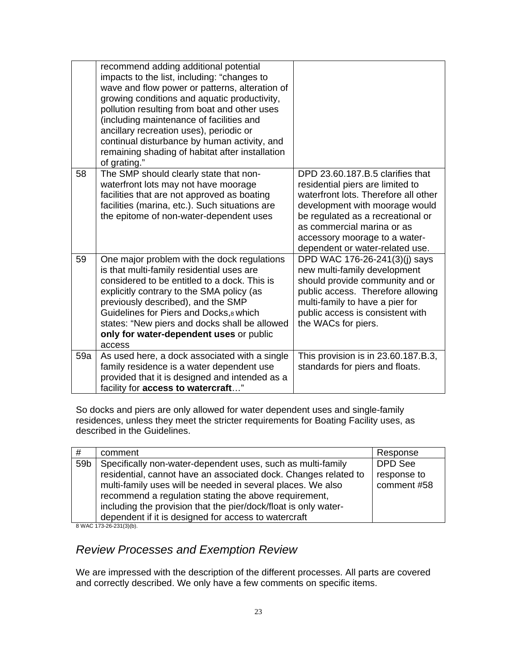|     | recommend adding additional potential<br>impacts to the list, including: "changes to<br>wave and flow power or patterns, alteration of<br>growing conditions and aquatic productivity,<br>pollution resulting from boat and other uses<br>(including maintenance of facilities and<br>ancillary recreation uses), periodic or<br>continual disturbance by human activity, and<br>remaining shading of habitat after installation<br>of grating." |                                                                                                                                                                                                                                                                                       |
|-----|--------------------------------------------------------------------------------------------------------------------------------------------------------------------------------------------------------------------------------------------------------------------------------------------------------------------------------------------------------------------------------------------------------------------------------------------------|---------------------------------------------------------------------------------------------------------------------------------------------------------------------------------------------------------------------------------------------------------------------------------------|
| 58  | The SMP should clearly state that non-<br>waterfront lots may not have moorage<br>facilities that are not approved as boating<br>facilities (marina, etc.). Such situations are<br>the epitome of non-water-dependent uses                                                                                                                                                                                                                       | DPD 23.60.187.B.5 clarifies that<br>residential piers are limited to<br>waterfront lots. Therefore all other<br>development with moorage would<br>be regulated as a recreational or<br>as commercial marina or as<br>accessory moorage to a water-<br>dependent or water-related use. |
| 59  | One major problem with the dock regulations<br>is that multi-family residential uses are<br>considered to be entitled to a dock. This is<br>explicitly contrary to the SMA policy (as<br>previously described), and the SMP<br>Guidelines for Piers and Docks, 8 which<br>states: "New piers and docks shall be allowed<br>only for water-dependent uses or public<br>access                                                                     | DPD WAC 176-26-241(3)(j) says<br>new multi-family development<br>should provide community and or<br>public access. Therefore allowing<br>multi-family to have a pier for<br>public access is consistent with<br>the WACs for piers.                                                   |
| 59a | As used here, a dock associated with a single<br>family residence is a water dependent use<br>provided that it is designed and intended as a<br>facility for access to watercraft"                                                                                                                                                                                                                                                               | This provision is in 23.60.187.B.3,<br>standards for piers and floats.                                                                                                                                                                                                                |

So docks and piers are only allowed for water dependent uses and single-family residences, unless they meet the stricter requirements for Boating Facility uses, as described in the Guidelines.

| #               | comment                                                         | Response       |
|-----------------|-----------------------------------------------------------------|----------------|
| 59 <sub>b</sub> | Specifically non-water-dependent uses, such as multi-family     | <b>DPD</b> See |
|                 | residential, cannot have an associated dock. Changes related to | response to    |
|                 | multi-family uses will be needed in several places. We also     | comment #58    |
|                 | recommend a regulation stating the above requirement,           |                |
|                 | including the provision that the pier/dock/float is only water- |                |
|                 | dependent if it is designed for access to watercraft            |                |

8 WAC 173-26-231(3)(b).

# *Review Processes and Exemption Review*

We are impressed with the description of the different processes. All parts are covered and correctly described. We only have a few comments on specific items.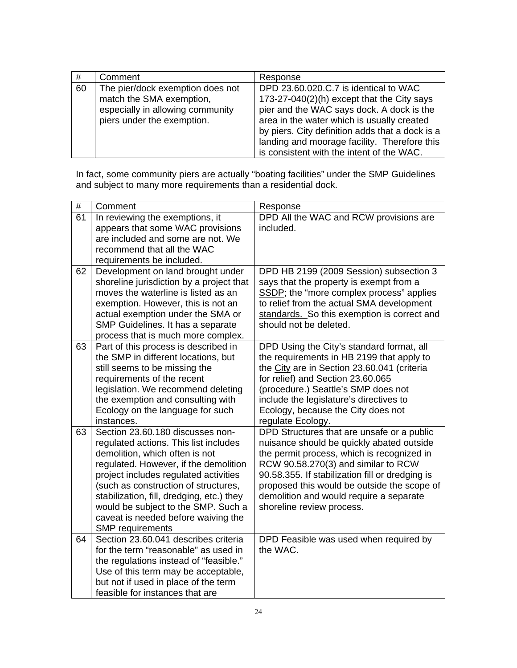| #  | Comment                                                                                                                        | Response                                                                                                                                                                                                                          |
|----|--------------------------------------------------------------------------------------------------------------------------------|-----------------------------------------------------------------------------------------------------------------------------------------------------------------------------------------------------------------------------------|
| 60 | The pier/dock exemption does not<br>match the SMA exemption,<br>especially in allowing community<br>piers under the exemption. | DPD 23.60.020.C.7 is identical to WAC<br>173-27-040(2)(h) except that the City says<br>pier and the WAC says dock. A dock is the<br>area in the water which is usually created<br>by piers. City definition adds that a dock is a |
|    |                                                                                                                                | landing and moorage facility. Therefore this<br>is consistent with the intent of the WAC.                                                                                                                                         |

In fact, some community piers are actually "boating facilities" under the SMP Guidelines and subject to many more requirements than a residential dock.

| $\#$ | Comment                                                                                                                                                                                                                                                                                                                                                                                                                                                                                                                                                    | Response                                                                                                                                                                                                                                                                                                          |
|------|------------------------------------------------------------------------------------------------------------------------------------------------------------------------------------------------------------------------------------------------------------------------------------------------------------------------------------------------------------------------------------------------------------------------------------------------------------------------------------------------------------------------------------------------------------|-------------------------------------------------------------------------------------------------------------------------------------------------------------------------------------------------------------------------------------------------------------------------------------------------------------------|
| 61   | In reviewing the exemptions, it                                                                                                                                                                                                                                                                                                                                                                                                                                                                                                                            | DPD All the WAC and RCW provisions are                                                                                                                                                                                                                                                                            |
|      | appears that some WAC provisions                                                                                                                                                                                                                                                                                                                                                                                                                                                                                                                           | included.                                                                                                                                                                                                                                                                                                         |
|      | are included and some are not. We                                                                                                                                                                                                                                                                                                                                                                                                                                                                                                                          |                                                                                                                                                                                                                                                                                                                   |
|      | recommend that all the WAC                                                                                                                                                                                                                                                                                                                                                                                                                                                                                                                                 |                                                                                                                                                                                                                                                                                                                   |
|      | requirements be included.                                                                                                                                                                                                                                                                                                                                                                                                                                                                                                                                  |                                                                                                                                                                                                                                                                                                                   |
| 62   | Development on land brought under                                                                                                                                                                                                                                                                                                                                                                                                                                                                                                                          | DPD HB 2199 (2009 Session) subsection 3                                                                                                                                                                                                                                                                           |
|      | shoreline jurisdiction by a project that                                                                                                                                                                                                                                                                                                                                                                                                                                                                                                                   | says that the property is exempt from a                                                                                                                                                                                                                                                                           |
|      | moves the waterline is listed as an                                                                                                                                                                                                                                                                                                                                                                                                                                                                                                                        | SSDP; the "more complex process" applies                                                                                                                                                                                                                                                                          |
|      | exemption. However, this is not an                                                                                                                                                                                                                                                                                                                                                                                                                                                                                                                         | to relief from the actual SMA development                                                                                                                                                                                                                                                                         |
|      | actual exemption under the SMA or                                                                                                                                                                                                                                                                                                                                                                                                                                                                                                                          | standards. So this exemption is correct and                                                                                                                                                                                                                                                                       |
|      | SMP Guidelines. It has a separate                                                                                                                                                                                                                                                                                                                                                                                                                                                                                                                          | should not be deleted.                                                                                                                                                                                                                                                                                            |
|      | process that is much more complex.                                                                                                                                                                                                                                                                                                                                                                                                                                                                                                                         |                                                                                                                                                                                                                                                                                                                   |
| 63   | Part of this process is described in                                                                                                                                                                                                                                                                                                                                                                                                                                                                                                                       | DPD Using the City's standard format, all                                                                                                                                                                                                                                                                         |
|      | the SMP in different locations, but                                                                                                                                                                                                                                                                                                                                                                                                                                                                                                                        | the requirements in HB 2199 that apply to                                                                                                                                                                                                                                                                         |
|      | still seems to be missing the                                                                                                                                                                                                                                                                                                                                                                                                                                                                                                                              | the City are in Section 23.60.041 (criteria                                                                                                                                                                                                                                                                       |
|      | requirements of the recent                                                                                                                                                                                                                                                                                                                                                                                                                                                                                                                                 | for relief) and Section 23.60.065                                                                                                                                                                                                                                                                                 |
|      | legislation. We recommend deleting                                                                                                                                                                                                                                                                                                                                                                                                                                                                                                                         | (procedure.) Seattle's SMP does not                                                                                                                                                                                                                                                                               |
|      | the exemption and consulting with                                                                                                                                                                                                                                                                                                                                                                                                                                                                                                                          | include the legislature's directives to                                                                                                                                                                                                                                                                           |
|      | Ecology on the language for such                                                                                                                                                                                                                                                                                                                                                                                                                                                                                                                           | Ecology, because the City does not                                                                                                                                                                                                                                                                                |
|      | instances.                                                                                                                                                                                                                                                                                                                                                                                                                                                                                                                                                 | regulate Ecology.                                                                                                                                                                                                                                                                                                 |
| 63   | Section 23.60.180 discusses non-                                                                                                                                                                                                                                                                                                                                                                                                                                                                                                                           | DPD Structures that are unsafe or a public                                                                                                                                                                                                                                                                        |
|      | regulated actions. This list includes                                                                                                                                                                                                                                                                                                                                                                                                                                                                                                                      | nuisance should be quickly abated outside                                                                                                                                                                                                                                                                         |
|      |                                                                                                                                                                                                                                                                                                                                                                                                                                                                                                                                                            |                                                                                                                                                                                                                                                                                                                   |
|      |                                                                                                                                                                                                                                                                                                                                                                                                                                                                                                                                                            |                                                                                                                                                                                                                                                                                                                   |
|      |                                                                                                                                                                                                                                                                                                                                                                                                                                                                                                                                                            |                                                                                                                                                                                                                                                                                                                   |
|      |                                                                                                                                                                                                                                                                                                                                                                                                                                                                                                                                                            |                                                                                                                                                                                                                                                                                                                   |
|      |                                                                                                                                                                                                                                                                                                                                                                                                                                                                                                                                                            |                                                                                                                                                                                                                                                                                                                   |
|      |                                                                                                                                                                                                                                                                                                                                                                                                                                                                                                                                                            |                                                                                                                                                                                                                                                                                                                   |
|      |                                                                                                                                                                                                                                                                                                                                                                                                                                                                                                                                                            |                                                                                                                                                                                                                                                                                                                   |
|      |                                                                                                                                                                                                                                                                                                                                                                                                                                                                                                                                                            |                                                                                                                                                                                                                                                                                                                   |
|      |                                                                                                                                                                                                                                                                                                                                                                                                                                                                                                                                                            |                                                                                                                                                                                                                                                                                                                   |
|      |                                                                                                                                                                                                                                                                                                                                                                                                                                                                                                                                                            |                                                                                                                                                                                                                                                                                                                   |
|      |                                                                                                                                                                                                                                                                                                                                                                                                                                                                                                                                                            |                                                                                                                                                                                                                                                                                                                   |
|      |                                                                                                                                                                                                                                                                                                                                                                                                                                                                                                                                                            |                                                                                                                                                                                                                                                                                                                   |
|      |                                                                                                                                                                                                                                                                                                                                                                                                                                                                                                                                                            |                                                                                                                                                                                                                                                                                                                   |
| 64   | demolition, which often is not<br>regulated. However, if the demolition<br>project includes regulated activities<br>(such as construction of structures,<br>stabilization, fill, dredging, etc.) they<br>would be subject to the SMP. Such a<br>caveat is needed before waiving the<br><b>SMP</b> requirements<br>Section 23.60.041 describes criteria<br>for the term "reasonable" as used in<br>the regulations instead of "feasible."<br>Use of this term may be acceptable,<br>but not if used in place of the term<br>feasible for instances that are | the permit process, which is recognized in<br>RCW 90.58.270(3) and similar to RCW<br>90.58.355. If stabilization fill or dredging is<br>proposed this would be outside the scope of<br>demolition and would require a separate<br>shoreline review process.<br>DPD Feasible was used when required by<br>the WAC. |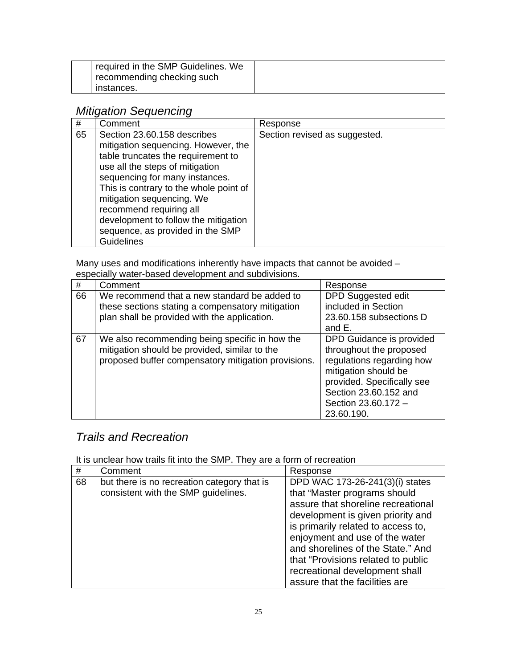| required in the SMP Guidelines. We |
|------------------------------------|
| recommending checking such         |
| instances.                         |

# *Mitigation Sequencing*

| #  | Comment                                                                                                                                                                                                                                                                                                                                                                          | Response                      |
|----|----------------------------------------------------------------------------------------------------------------------------------------------------------------------------------------------------------------------------------------------------------------------------------------------------------------------------------------------------------------------------------|-------------------------------|
| 65 | Section 23.60.158 describes<br>mitigation sequencing. However, the<br>table truncates the requirement to<br>use all the steps of mitigation<br>sequencing for many instances.<br>This is contrary to the whole point of<br>mitigation sequencing. We<br>recommend requiring all<br>development to follow the mitigation<br>sequence, as provided in the SMP<br><b>Guidelines</b> | Section revised as suggested. |

Many uses and modifications inherently have impacts that cannot be avoided – especially water-based development and subdivisions.

| #  | Comment                                                                                                                                                | Response                                                                                                                                                                                             |
|----|--------------------------------------------------------------------------------------------------------------------------------------------------------|------------------------------------------------------------------------------------------------------------------------------------------------------------------------------------------------------|
| 66 | We recommend that a new standard be added to<br>these sections stating a compensatory mitigation<br>plan shall be provided with the application.       | <b>DPD Suggested edit</b><br>included in Section<br>23.60.158 subsections D<br>and E.                                                                                                                |
| 67 | We also recommending being specific in how the<br>mitigation should be provided, similar to the<br>proposed buffer compensatory mitigation provisions. | DPD Guidance is provided<br>throughout the proposed<br>regulations regarding how<br>mitigation should be<br>provided. Specifically see<br>Section 23.60.152 and<br>Section 23.60.172 -<br>23.60.190. |

# *Trails and Recreation*

It is unclear how trails fit into the SMP. They are a form of recreation

| #  | Comment                                                                            | Response                                                                                                                                                                                                                                                                                                                                                          |
|----|------------------------------------------------------------------------------------|-------------------------------------------------------------------------------------------------------------------------------------------------------------------------------------------------------------------------------------------------------------------------------------------------------------------------------------------------------------------|
| 68 | but there is no recreation category that is<br>consistent with the SMP guidelines. | DPD WAC 173-26-241(3)(i) states<br>that "Master programs should<br>assure that shoreline recreational<br>development is given priority and<br>is primarily related to access to,<br>enjoyment and use of the water<br>and shorelines of the State." And<br>that "Provisions related to public<br>recreational development shall<br>assure that the facilities are |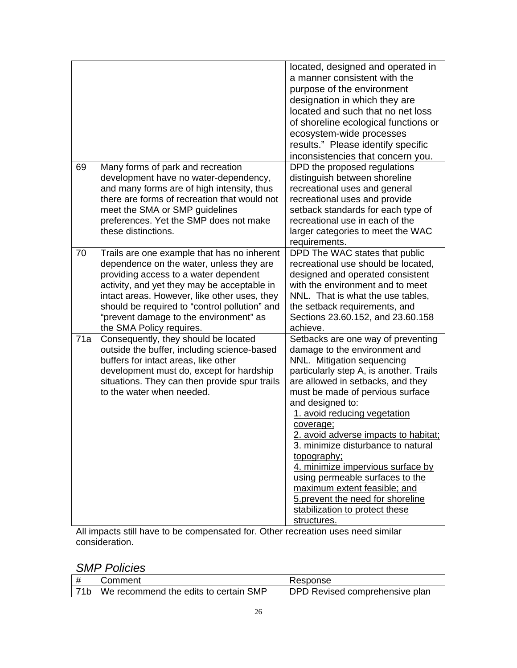|     |                                                                                                                                                                                                                                                                                                                                                        | located, designed and operated in<br>a manner consistent with the<br>purpose of the environment<br>designation in which they are<br>located and such that no net loss<br>of shoreline ecological functions or<br>ecosystem-wide processes<br>results." Please identify specific<br>inconsistencies that concern you.                                                                                                                                                                                                                                                              |
|-----|--------------------------------------------------------------------------------------------------------------------------------------------------------------------------------------------------------------------------------------------------------------------------------------------------------------------------------------------------------|-----------------------------------------------------------------------------------------------------------------------------------------------------------------------------------------------------------------------------------------------------------------------------------------------------------------------------------------------------------------------------------------------------------------------------------------------------------------------------------------------------------------------------------------------------------------------------------|
| 69  | Many forms of park and recreation<br>development have no water-dependency,<br>and many forms are of high intensity, thus<br>there are forms of recreation that would not<br>meet the SMA or SMP guidelines<br>preferences. Yet the SMP does not make<br>these distinctions.                                                                            | DPD the proposed regulations<br>distinguish between shoreline<br>recreational uses and general<br>recreational uses and provide<br>setback standards for each type of<br>recreational use in each of the<br>larger categories to meet the WAC<br>requirements.                                                                                                                                                                                                                                                                                                                    |
| 70  | Trails are one example that has no inherent<br>dependence on the water, unless they are<br>providing access to a water dependent<br>activity, and yet they may be acceptable in<br>intact areas. However, like other uses, they<br>should be required to "control pollution" and<br>"prevent damage to the environment" as<br>the SMA Policy requires. | DPD The WAC states that public<br>recreational use should be located,<br>designed and operated consistent<br>with the environment and to meet<br>NNL. That is what the use tables,<br>the setback requirements, and<br>Sections 23.60.152, and 23.60.158<br>achieve.                                                                                                                                                                                                                                                                                                              |
| 71a | Consequently, they should be located<br>outside the buffer, including science-based<br>buffers for intact areas, like other<br>development must do, except for hardship<br>situations. They can then provide spur trails<br>to the water when needed.                                                                                                  | Setbacks are one way of preventing<br>damage to the environment and<br>NNL. Mitigation sequencing<br>particularly step A, is another. Trails<br>are allowed in setbacks, and they<br>must be made of pervious surface<br>and designed to:<br>1. avoid reducing vegetation<br>coverage;<br>2. avoid adverse impacts to habitat;<br>3. minimize disturbance to natural<br>topography;<br>4. minimize impervious surface by<br>using permeable surfaces to the<br>maximum extent feasible; and<br>5. prevent the need for shoreline<br>stabilization to protect these<br>structures. |

All impacts still have to be compensated for. Other recreation uses need similar consideration.

## *SMP Policies*

| Comment                                     | Response                       |
|---------------------------------------------|--------------------------------|
| 71b   We recommend the edits to certain SMP | DPD Revised comprehensive plan |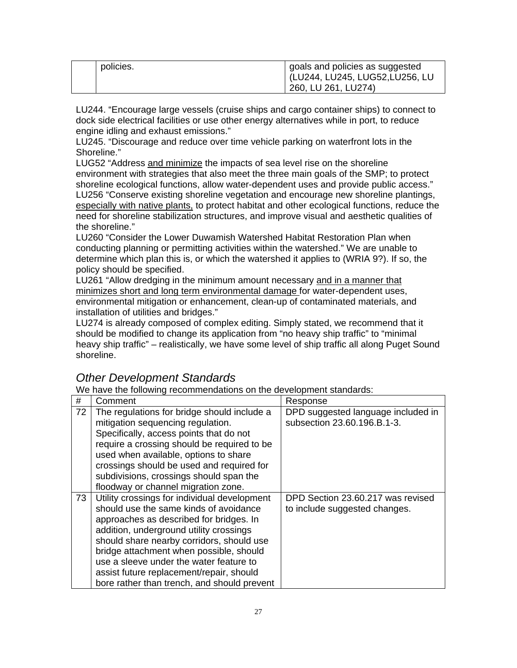| policies. | goals and policies as suggested<br>  (LU244, LU245, LUG52,LU256, LU<br>260, LU 261, LU274) |
|-----------|--------------------------------------------------------------------------------------------|
|-----------|--------------------------------------------------------------------------------------------|

LU244. "Encourage large vessels (cruise ships and cargo container ships) to connect to dock side electrical facilities or use other energy alternatives while in port, to reduce engine idling and exhaust emissions."

LU245. "Discourage and reduce over time vehicle parking on waterfront lots in the Shoreline."

LUG52 "Address and minimize the impacts of sea level rise on the shoreline environment with strategies that also meet the three main goals of the SMP; to protect shoreline ecological functions, allow water-dependent uses and provide public access." LU256 "Conserve existing shoreline vegetation and encourage new shoreline plantings, especially with native plants, to protect habitat and other ecological functions, reduce the need for shoreline stabilization structures, and improve visual and aesthetic qualities of the shoreline."

LU260 "Consider the Lower Duwamish Watershed Habitat Restoration Plan when conducting planning or permitting activities within the watershed." We are unable to determine which plan this is, or which the watershed it applies to (WRIA 9?). If so, the policy should be specified.

LU261 "Allow dredging in the minimum amount necessary and in a manner that minimizes short and long term environmental damage for water-dependent uses, environmental mitigation or enhancement, clean-up of contaminated materials, and installation of utilities and bridges."

LU274 is already composed of complex editing. Simply stated, we recommend that it should be modified to change its application from "no heavy ship traffic" to "minimal heavy ship traffic" – realistically, we have some level of ship traffic all along Puget Sound shoreline.

# *Other Development Standards*

We have the following recommendations on the development standards:

| #  | Comment                                      | Response                           |
|----|----------------------------------------------|------------------------------------|
| 72 | The regulations for bridge should include a  | DPD suggested language included in |
|    | mitigation sequencing regulation.            | subsection 23.60.196.B.1-3.        |
|    | Specifically, access points that do not      |                                    |
|    | require a crossing should be required to be  |                                    |
|    | used when available, options to share        |                                    |
|    | crossings should be used and required for    |                                    |
|    | subdivisions, crossings should span the      |                                    |
|    | floodway or channel migration zone.          |                                    |
| 73 | Utility crossings for individual development | DPD Section 23.60.217 was revised  |
|    | should use the same kinds of avoidance       | to include suggested changes.      |
|    | approaches as described for bridges. In      |                                    |
|    | addition, underground utility crossings      |                                    |
|    | should share nearby corridors, should use    |                                    |
|    | bridge attachment when possible, should      |                                    |
|    | use a sleeve under the water feature to      |                                    |
|    | assist future replacement/repair, should     |                                    |
|    | bore rather than trench, and should prevent  |                                    |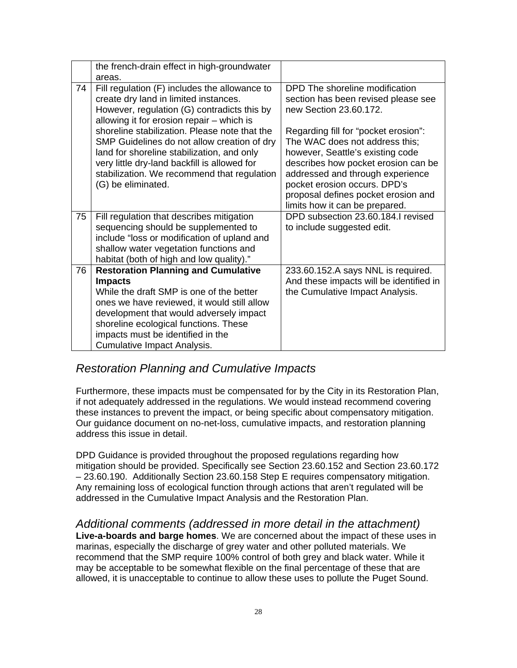|    | the french-drain effect in high-groundwater                                                                                                                                                                                                                                                                     |                                                                                                                                                                                                                                                        |
|----|-----------------------------------------------------------------------------------------------------------------------------------------------------------------------------------------------------------------------------------------------------------------------------------------------------------------|--------------------------------------------------------------------------------------------------------------------------------------------------------------------------------------------------------------------------------------------------------|
|    | areas.                                                                                                                                                                                                                                                                                                          |                                                                                                                                                                                                                                                        |
| 74 | Fill regulation (F) includes the allowance to<br>create dry land in limited instances.<br>However, regulation (G) contradicts this by<br>allowing it for erosion repair - which is<br>shoreline stabilization. Please note that the                                                                             | DPD The shoreline modification<br>section has been revised please see<br>new Section 23.60.172.<br>Regarding fill for "pocket erosion":                                                                                                                |
|    | SMP Guidelines do not allow creation of dry<br>land for shoreline stabilization, and only<br>very little dry-land backfill is allowed for<br>stabilization. We recommend that regulation<br>(G) be eliminated.                                                                                                  | The WAC does not address this;<br>however, Seattle's existing code<br>describes how pocket erosion can be<br>addressed and through experience<br>pocket erosion occurs. DPD's<br>proposal defines pocket erosion and<br>limits how it can be prepared. |
| 75 | Fill regulation that describes mitigation<br>sequencing should be supplemented to<br>include "loss or modification of upland and<br>shallow water vegetation functions and<br>habitat (both of high and low quality)."                                                                                          | DPD subsection 23.60.184.I revised<br>to include suggested edit.                                                                                                                                                                                       |
| 76 | <b>Restoration Planning and Cumulative</b><br><b>Impacts</b><br>While the draft SMP is one of the better<br>ones we have reviewed, it would still allow<br>development that would adversely impact<br>shoreline ecological functions. These<br>impacts must be identified in the<br>Cumulative Impact Analysis. | 233.60.152.A says NNL is required.<br>And these impacts will be identified in<br>the Cumulative Impact Analysis.                                                                                                                                       |

### *Restoration Planning and Cumulative Impacts*

Furthermore, these impacts must be compensated for by the City in its Restoration Plan, if not adequately addressed in the regulations. We would instead recommend covering these instances to prevent the impact, or being specific about compensatory mitigation. Our guidance document on no-net-loss, cumulative impacts, and restoration planning address this issue in detail.

DPD Guidance is provided throughout the proposed regulations regarding how mitigation should be provided. Specifically see Section 23.60.152 and Section 23.60.172 – 23.60.190. Additionally Section 23.60.158 Step E requires compensatory mitigation. Any remaining loss of ecological function through actions that aren't regulated will be addressed in the Cumulative Impact Analysis and the Restoration Plan.

*Additional comments (addressed in more detail in the attachment)*  **Live-a-boards and barge homes**. We are concerned about the impact of these uses in marinas, especially the discharge of grey water and other polluted materials. We recommend that the SMP require 100% control of both grey and black water. While it may be acceptable to be somewhat flexible on the final percentage of these that are allowed, it is unacceptable to continue to allow these uses to pollute the Puget Sound.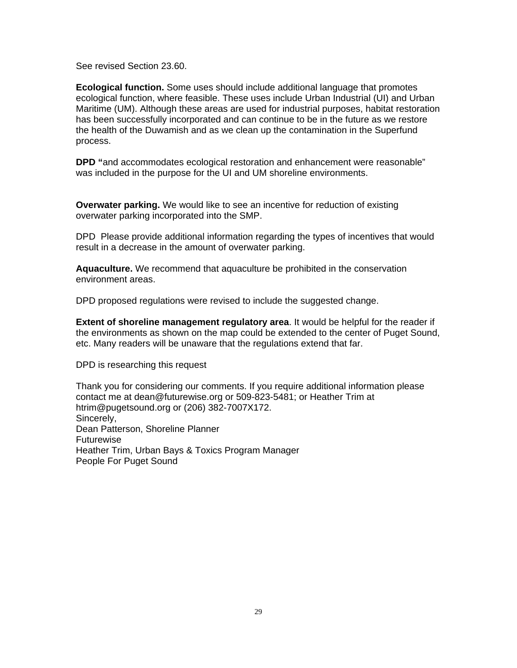See revised Section 23.60.

**Ecological function.** Some uses should include additional language that promotes ecological function, where feasible. These uses include Urban Industrial (UI) and Urban Maritime (UM). Although these areas are used for industrial purposes, habitat restoration has been successfully incorporated and can continue to be in the future as we restore the health of the Duwamish and as we clean up the contamination in the Superfund process.

**DPD "**and accommodates ecological restoration and enhancement were reasonable" was included in the purpose for the UI and UM shoreline environments.

**Overwater parking.** We would like to see an incentive for reduction of existing overwater parking incorporated into the SMP.

DPD Please provide additional information regarding the types of incentives that would result in a decrease in the amount of overwater parking.

**Aquaculture.** We recommend that aquaculture be prohibited in the conservation environment areas.

DPD proposed regulations were revised to include the suggested change.

**Extent of shoreline management regulatory area**. It would be helpful for the reader if the environments as shown on the map could be extended to the center of Puget Sound, etc. Many readers will be unaware that the regulations extend that far.

DPD is researching this request

Thank you for considering our comments. If you require additional information please contact me at dean@futurewise.org or 509-823-5481; or Heather Trim at htrim@pugetsound.org or (206) 382-7007X172. Sincerely, Dean Patterson, Shoreline Planner Futurewise Heather Trim, Urban Bays & Toxics Program Manager People For Puget Sound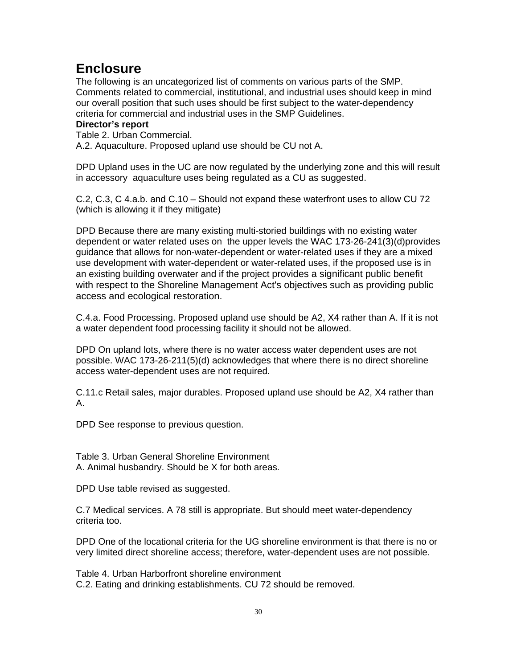# **Enclosure**

The following is an uncategorized list of comments on various parts of the SMP. Comments related to commercial, institutional, and industrial uses should keep in mind our overall position that such uses should be first subject to the water-dependency criteria for commercial and industrial uses in the SMP Guidelines.

#### **Director's report**

Table 2. Urban Commercial.

A.2. Aquaculture. Proposed upland use should be CU not A.

DPD Upland uses in the UC are now regulated by the underlying zone and this will result in accessory aquaculture uses being regulated as a CU as suggested.

C.2, C.3, C 4.a.b. and C.10 – Should not expand these waterfront uses to allow CU 72 (which is allowing it if they mitigate)

DPD Because there are many existing multi-storied buildings with no existing water dependent or water related uses on the upper levels the WAC 173-26-241(3)(d)provides guidance that allows for non-water-dependent or water-related uses if they are a mixed use development with water-dependent or water-related uses, if the proposed use is in an existing building overwater and if the project provides a significant public benefit with respect to the Shoreline Management Act's objectives such as providing public access and ecological restoration.

C.4.a. Food Processing. Proposed upland use should be A2, X4 rather than A. If it is not a water dependent food processing facility it should not be allowed.

DPD On upland lots, where there is no water access water dependent uses are not possible. WAC 173-26-211(5)(d) acknowledges that where there is no direct shoreline access water-dependent uses are not required.

C.11.c Retail sales, major durables. Proposed upland use should be A2, X4 rather than A.

DPD See response to previous question.

Table 3. Urban General Shoreline Environment A. Animal husbandry. Should be X for both areas.

DPD Use table revised as suggested.

C.7 Medical services. A 78 still is appropriate. But should meet water-dependency criteria too.

DPD One of the locational criteria for the UG shoreline environment is that there is no or very limited direct shoreline access; therefore, water-dependent uses are not possible.

Table 4. Urban Harborfront shoreline environment C.2. Eating and drinking establishments. CU 72 should be removed.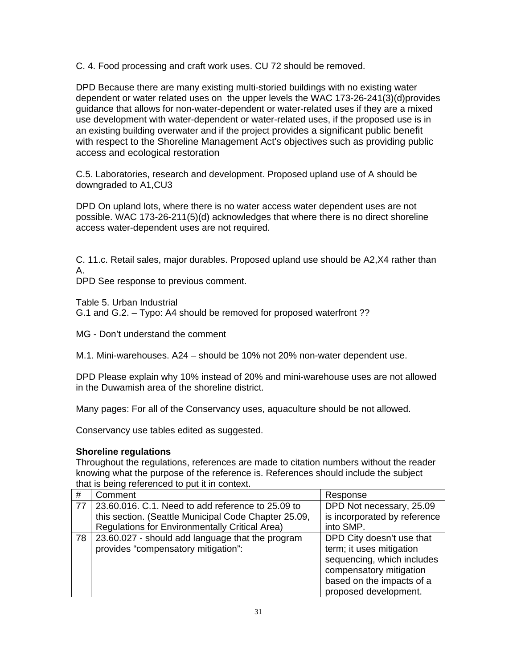C. 4. Food processing and craft work uses. CU 72 should be removed.

DPD Because there are many existing multi-storied buildings with no existing water dependent or water related uses on the upper levels the WAC 173-26-241(3)(d)provides guidance that allows for non-water-dependent or water-related uses if they are a mixed use development with water-dependent or water-related uses, if the proposed use is in an existing building overwater and if the project provides a significant public benefit with respect to the Shoreline Management Act's objectives such as providing public access and ecological restoration

C.5. Laboratories, research and development. Proposed upland use of A should be downgraded to A1,CU3

DPD On upland lots, where there is no water access water dependent uses are not possible. WAC 173-26-211(5)(d) acknowledges that where there is no direct shoreline access water-dependent uses are not required.

C. 11.c. Retail sales, major durables. Proposed upland use should be A2,X4 rather than A.

DPD See response to previous comment.

Table 5. Urban Industrial

G.1 and G.2. – Typo: A4 should be removed for proposed waterfront ??

MG - Don't understand the comment

M.1. Mini-warehouses. A24 – should be 10% not 20% non-water dependent use.

DPD Please explain why 10% instead of 20% and mini-warehouse uses are not allowed in the Duwamish area of the shoreline district.

Many pages: For all of the Conservancy uses, aquaculture should be not allowed.

Conservancy use tables edited as suggested.

#### **Shoreline regulations**

Throughout the regulations, references are made to citation numbers without the reader knowing what the purpose of the reference is. References should include the subject that is being referenced to put it in context.

| #  | Comment                                               | Response                     |
|----|-------------------------------------------------------|------------------------------|
| 77 | 23,60,016, C.1, Need to add reference to 25,09 to     | DPD Not necessary, 25.09     |
|    | this section. (Seattle Municipal Code Chapter 25.09,  | is incorporated by reference |
|    | <b>Regulations for Environmentally Critical Area)</b> | into SMP.                    |
| 78 | 23.60.027 - should add language that the program      | DPD City doesn't use that    |
|    | provides "compensatory mitigation":                   | term; it uses mitigation     |
|    |                                                       | sequencing, which includes   |
|    |                                                       | compensatory mitigation      |
|    |                                                       | based on the impacts of a    |
|    |                                                       | proposed development.        |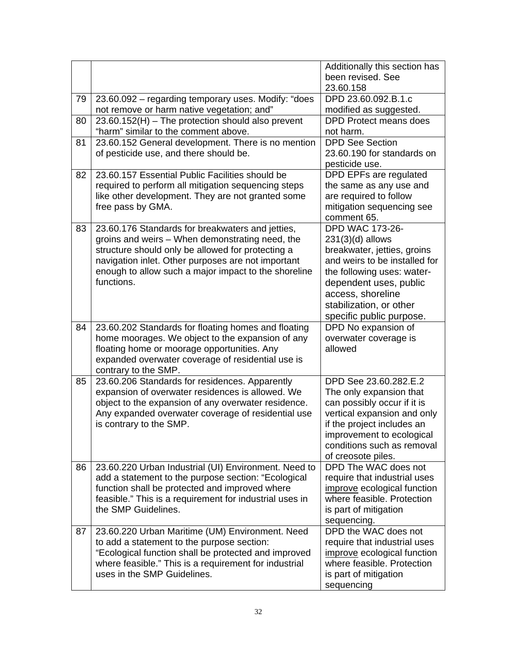|    |                                                         | Additionally this section has       |
|----|---------------------------------------------------------|-------------------------------------|
|    |                                                         | been revised. See                   |
|    |                                                         | 23.60.158                           |
| 79 | 23.60.092 - regarding temporary uses. Modify: "does     | DPD 23.60.092.B.1.c                 |
|    | not remove or harm native vegetation; and"              | modified as suggested.              |
| 80 | $23.60.152(H)$ – The protection should also prevent     | <b>DPD Protect means does</b>       |
|    | "harm" similar to the comment above.                    | not harm.                           |
| 81 | 23.60.152 General development. There is no mention      | <b>DPD See Section</b>              |
|    | of pesticide use, and there should be.                  | 23.60.190 for standards on          |
|    |                                                         | pesticide use.                      |
| 82 | 23.60.157 Essential Public Facilities should be         | DPD EPFs are regulated              |
|    | required to perform all mitigation sequencing steps     | the same as any use and             |
|    | like other development. They are not granted some       | are required to follow              |
|    | free pass by GMA.                                       | mitigation sequencing see           |
|    |                                                         | comment 65.                         |
| 83 | 23.60.176 Standards for breakwaters and jetties,        | <b>DPD WAC 173-26-</b>              |
|    | groins and weirs - When demonstrating need, the         | $231(3)(d)$ allows                  |
|    | structure should only be allowed for protecting a       | breakwater, jetties, groins         |
|    | navigation inlet. Other purposes are not important      | and weirs to be installed for       |
|    | enough to allow such a major impact to the shoreline    | the following uses: water-          |
|    | functions.                                              | dependent uses, public              |
|    |                                                         | access, shoreline                   |
|    |                                                         | stabilization, or other             |
|    |                                                         | specific public purpose.            |
|    | 23.60.202 Standards for floating homes and floating     |                                     |
| 84 |                                                         | DPD No expansion of                 |
|    | home moorages. We object to the expansion of any        | overwater coverage is               |
|    | floating home or moorage opportunities. Any             | allowed                             |
|    | expanded overwater coverage of residential use is       |                                     |
|    | contrary to the SMP.                                    |                                     |
| 85 | 23.60.206 Standards for residences. Apparently          | DPD See 23.60.282.E.2               |
|    | expansion of overwater residences is allowed. We        | The only expansion that             |
|    | object to the expansion of any overwater residence.     | can possibly occur if it is         |
|    | Any expanded overwater coverage of residential use      | vertical expansion and only         |
|    | is contrary to the SMP.                                 | if the project includes an          |
|    |                                                         | improvement to ecological           |
|    |                                                         | conditions such as removal          |
|    |                                                         | of creosote piles.                  |
| 86 | 23.60.220 Urban Industrial (UI) Environment. Need to    | DPD The WAC does not                |
|    | add a statement to the purpose section: "Ecological     | require that industrial uses        |
|    | function shall be protected and improved where          | improve ecological function         |
|    | feasible." This is a requirement for industrial uses in | where feasible. Protection          |
|    | the SMP Guidelines.                                     | is part of mitigation               |
|    |                                                         | sequencing.                         |
| 87 | 23.60.220 Urban Maritime (UM) Environment. Need         | DPD the WAC does not                |
|    | to add a statement to the purpose section:              | require that industrial uses        |
|    | "Ecological function shall be protected and improved    | improve ecological function         |
|    | where feasible." This is a requirement for industrial   | where feasible. Protection          |
|    | uses in the SMP Guidelines.                             | is part of mitigation<br>sequencing |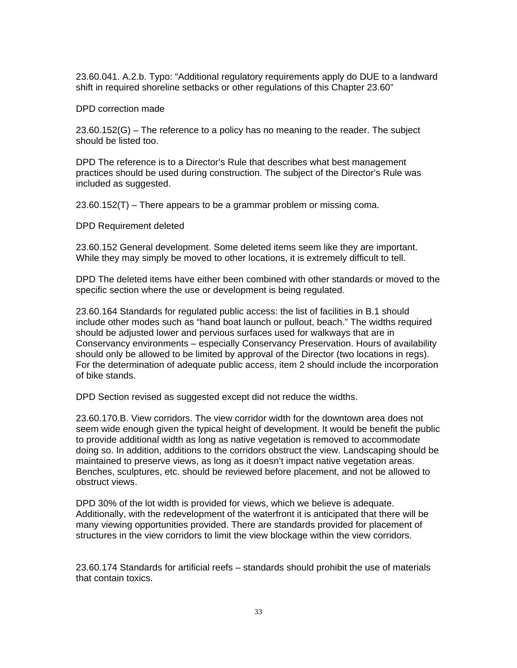23.60.041. A.2.b. Typo: "Additional regulatory requirements apply do DUE to a landward shift in required shoreline setbacks or other regulations of this Chapter 23.60"

DPD correction made

23.60.152(G) – The reference to a policy has no meaning to the reader. The subject should be listed too.

DPD The reference is to a Director's Rule that describes what best management practices should be used during construction. The subject of the Director's Rule was included as suggested.

23.60.152(T) – There appears to be a grammar problem or missing coma.

DPD Requirement deleted

23.60.152 General development. Some deleted items seem like they are important. While they may simply be moved to other locations, it is extremely difficult to tell.

DPD The deleted items have either been combined with other standards or moved to the specific section where the use or development is being regulated.

23.60.164 Standards for regulated public access: the list of facilities in B.1 should include other modes such as "hand boat launch or pullout, beach." The widths required should be adjusted lower and pervious surfaces used for walkways that are in Conservancy environments – especially Conservancy Preservation. Hours of availability should only be allowed to be limited by approval of the Director (two locations in regs). For the determination of adequate public access, item 2 should include the incorporation of bike stands.

DPD Section revised as suggested except did not reduce the widths.

23.60.170.B. View corridors. The view corridor width for the downtown area does not seem wide enough given the typical height of development. It would be benefit the public to provide additional width as long as native vegetation is removed to accommodate doing so. In addition, additions to the corridors obstruct the view. Landscaping should be maintained to preserve views, as long as it doesn't impact native vegetation areas. Benches, sculptures, etc. should be reviewed before placement, and not be allowed to obstruct views.

DPD 30% of the lot width is provided for views, which we believe is adequate. Additionally, with the redevelopment of the waterfront it is anticipated that there will be many viewing opportunities provided. There are standards provided for placement of structures in the view corridors to limit the view blockage within the view corridors.

23.60.174 Standards for artificial reefs – standards should prohibit the use of materials that contain toxics.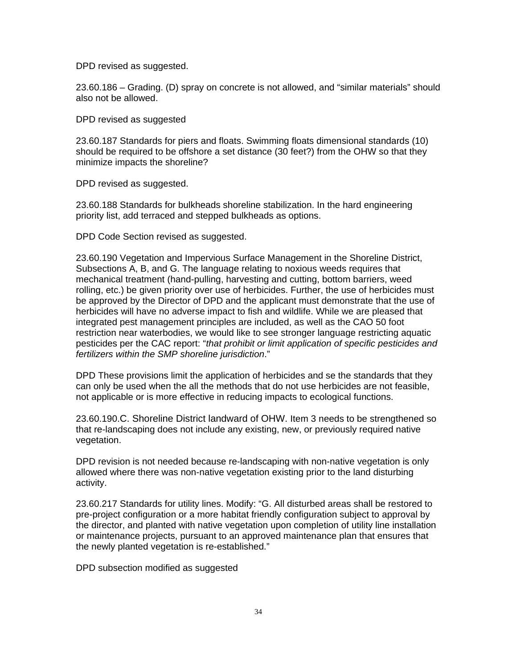DPD revised as suggested.

23.60.186 – Grading. (D) spray on concrete is not allowed, and "similar materials" should also not be allowed.

DPD revised as suggested

23.60.187 Standards for piers and floats. Swimming floats dimensional standards (10) should be required to be offshore a set distance (30 feet?) from the OHW so that they minimize impacts the shoreline?

DPD revised as suggested.

23.60.188 Standards for bulkheads shoreline stabilization. In the hard engineering priority list, add terraced and stepped bulkheads as options.

DPD Code Section revised as suggested.

23.60.190 Vegetation and Impervious Surface Management in the Shoreline District, Subsections A, B, and G. The language relating to noxious weeds requires that mechanical treatment (hand-pulling, harvesting and cutting, bottom barriers, weed rolling, etc.) be given priority over use of herbicides. Further, the use of herbicides must be approved by the Director of DPD and the applicant must demonstrate that the use of herbicides will have no adverse impact to fish and wildlife. While we are pleased that integrated pest management principles are included, as well as the CAO 50 foot restriction near waterbodies, we would like to see stronger language restricting aquatic pesticides per the CAC report: "*that prohibit or limit application of specific pesticides and fertilizers within the SMP shoreline jurisdiction*."

DPD These provisions limit the application of herbicides and se the standards that they can only be used when the all the methods that do not use herbicides are not feasible, not applicable or is more effective in reducing impacts to ecological functions.

23.60.190.C. Shoreline District landward of OHW. Item 3 needs to be strengthened so that re-landscaping does not include any existing, new, or previously required native vegetation.

DPD revision is not needed because re-landscaping with non-native vegetation is only allowed where there was non-native vegetation existing prior to the land disturbing activity.

23.60.217 Standards for utility lines. Modify: "G. All disturbed areas shall be restored to pre-project configuration or a more habitat friendly configuration subject to approval by the director, and planted with native vegetation upon completion of utility line installation or maintenance projects, pursuant to an approved maintenance plan that ensures that the newly planted vegetation is re-established."

DPD subsection modified as suggested